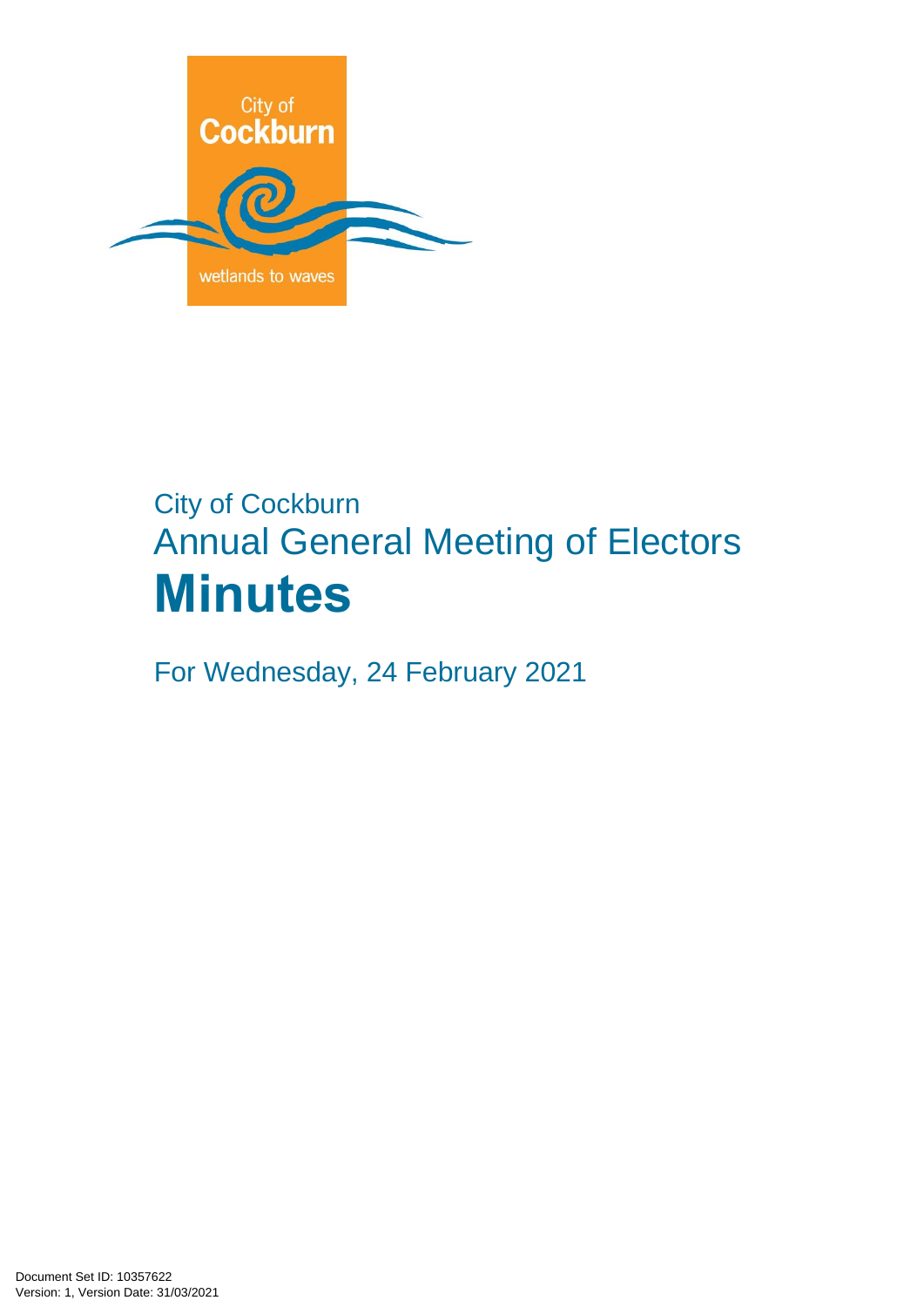

# City of Cockburn Annual General Meeting of Electors **Minutes**

For Wednesday, 24 February 2021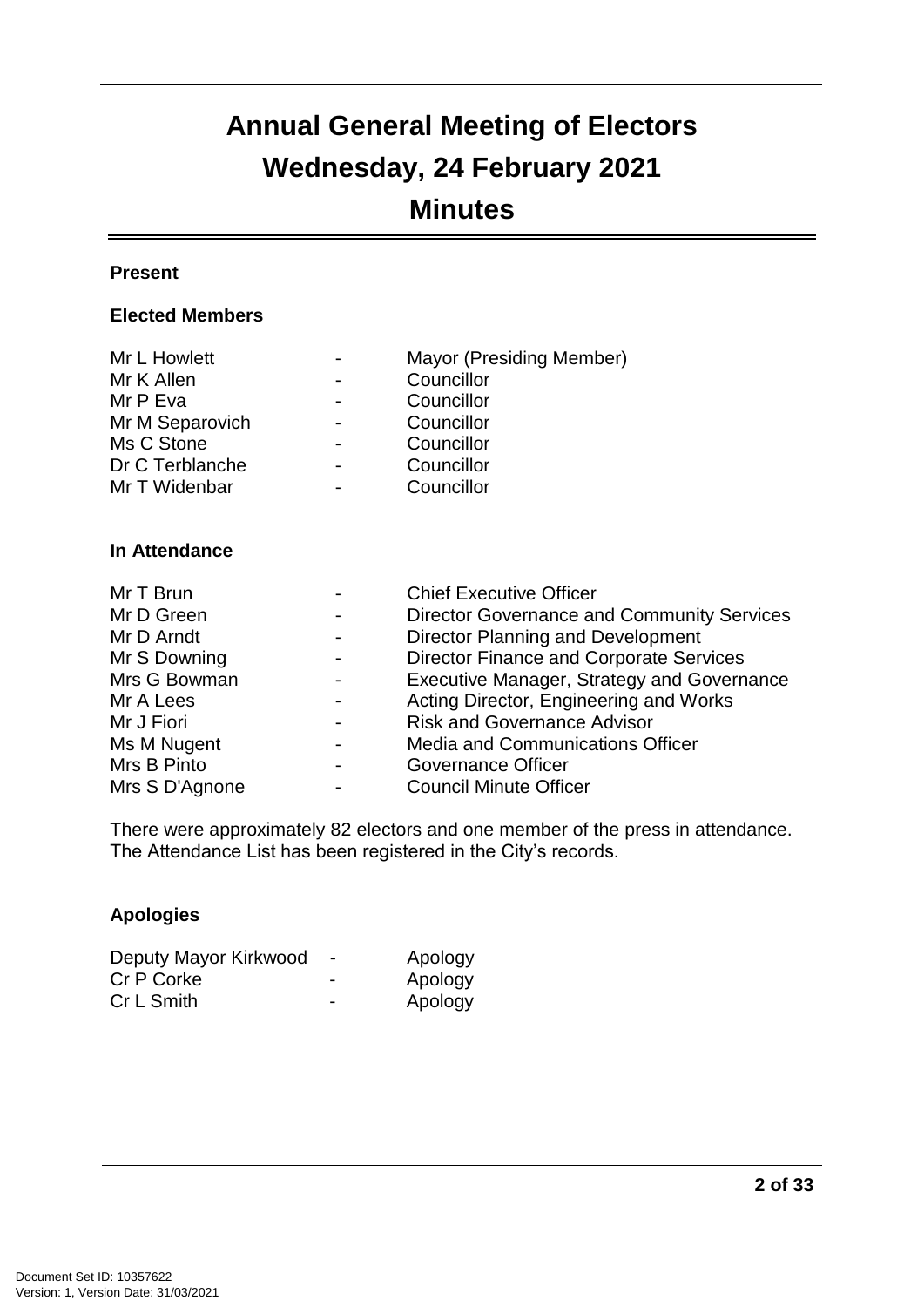## **Annual General Meeting of Electors Wednesday, 24 February 2021 Minutes**

#### **Present**

#### **Elected Members**

| Mr L Howlett    | Mayor (Presiding Member) |
|-----------------|--------------------------|
| Mr K Allen      | Councillor               |
| Mr P Eva        | Councillor               |
| Mr M Separovich | Councillor               |
| Ms C Stone      | Councillor               |
| Dr C Terblanche | Councillor               |
| Mr T Widenbar   | Councillor               |
|                 |                          |

#### **In Attendance**

| Mr T Brun      |                | <b>Chief Executive Officer</b>                    |
|----------------|----------------|---------------------------------------------------|
| Mr D Green     |                | <b>Director Governance and Community Services</b> |
| Mr D Arndt     | $\blacksquare$ | Director Planning and Development                 |
| Mr S Downing   |                | <b>Director Finance and Corporate Services</b>    |
| Mrs G Bowman   |                | Executive Manager, Strategy and Governance        |
| Mr A Lees      |                | Acting Director, Engineering and Works            |
| Mr J Fiori     |                | <b>Risk and Governance Advisor</b>                |
| Ms M Nugent    |                | <b>Media and Communications Officer</b>           |
| Mrs B Pinto    |                | <b>Governance Officer</b>                         |
| Mrs S D'Agnone |                | <b>Council Minute Officer</b>                     |

There were approximately 82 electors and one member of the press in attendance. The Attendance List has been registered in the City's records.

#### **Apologies**

| Deputy Mayor Kirkwood |                          | Apology |
|-----------------------|--------------------------|---------|
| Cr P Corke            | $\overline{\phantom{0}}$ | Apology |
| Cr L Smith            | $\overline{\phantom{0}}$ | Apology |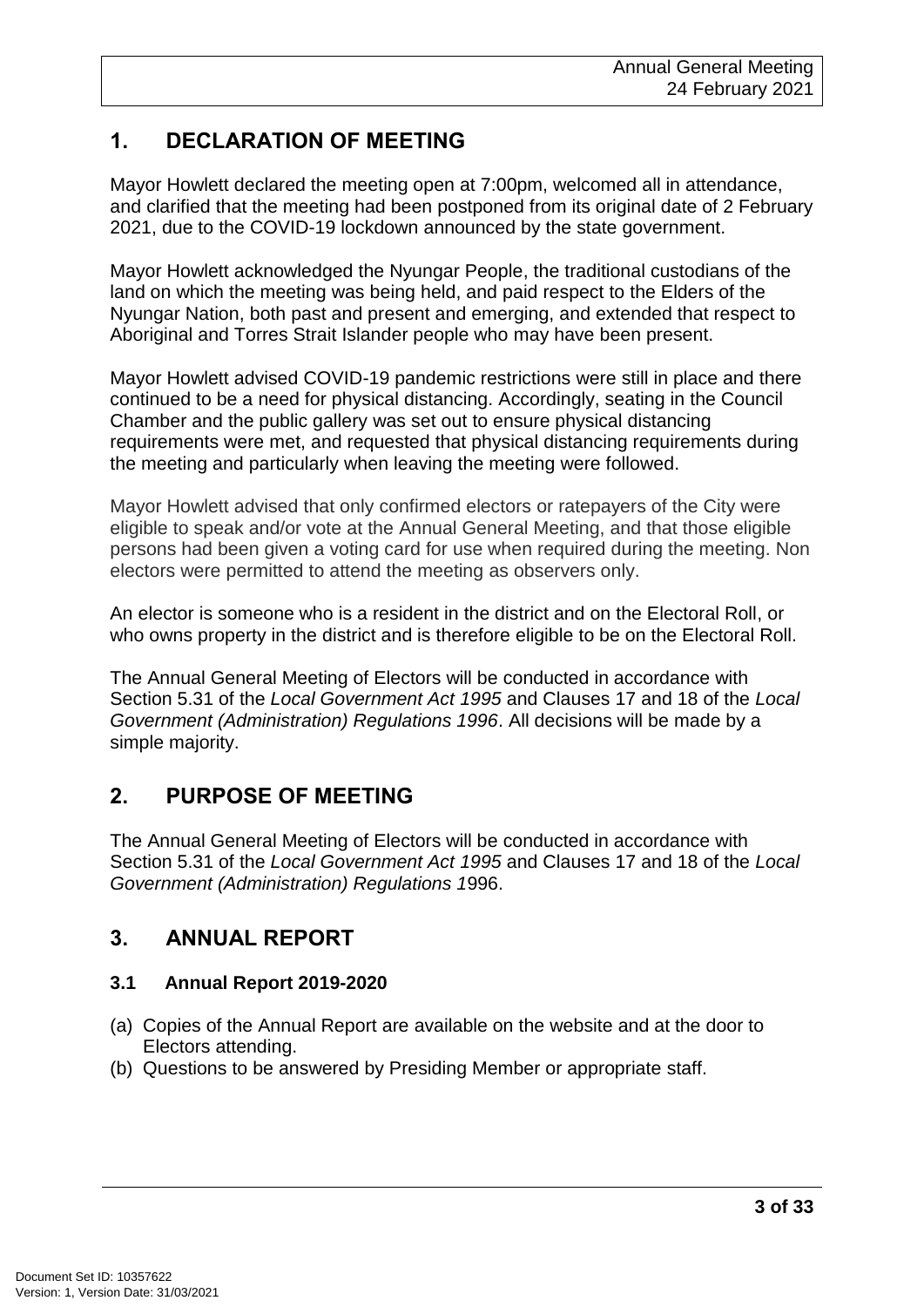## **1. DECLARATION OF MEETING**

Mayor Howlett declared the meeting open at 7:00pm, welcomed all in attendance, and clarified that the meeting had been postponed from its original date of 2 February 2021, due to the COVID-19 lockdown announced by the state government.

Mayor Howlett acknowledged the Nyungar People, the traditional custodians of the land on which the meeting was being held, and paid respect to the Elders of the Nyungar Nation, both past and present and emerging, and extended that respect to Aboriginal and Torres Strait Islander people who may have been present.

Mayor Howlett advised COVID-19 pandemic restrictions were still in place and there continued to be a need for physical distancing. Accordingly, seating in the Council Chamber and the public gallery was set out to ensure physical distancing requirements were met, and requested that physical distancing requirements during the meeting and particularly when leaving the meeting were followed.

Mayor Howlett advised that only confirmed electors or ratepayers of the City were eligible to speak and/or vote at the Annual General Meeting, and that those eligible persons had been given a voting card for use when required during the meeting. Non electors were permitted to attend the meeting as observers only.

An elector is someone who is a resident in the district and on the Electoral Roll, or who owns property in the district and is therefore eligible to be on the Electoral Roll.

The Annual General Meeting of Electors will be conducted in accordance with Section 5.31 of the *Local Government Act 1995* and Clauses 17 and 18 of the *Local Government (Administration) Regulations 1996*. All decisions will be made by a simple majority.

## **2. PURPOSE OF MEETING**

The Annual General Meeting of Electors will be conducted in accordance with Section 5.31 of the *Local Government Act 1995* and Clauses 17 and 18 of the *Local Government (Administration) Regulations 1*996.

## **3. ANNUAL REPORT**

#### **3.1 Annual Report 2019-2020**

- (a) Copies of the Annual Report are available on the website and at the door to Electors attending.
- (b) Questions to be answered by Presiding Member or appropriate staff.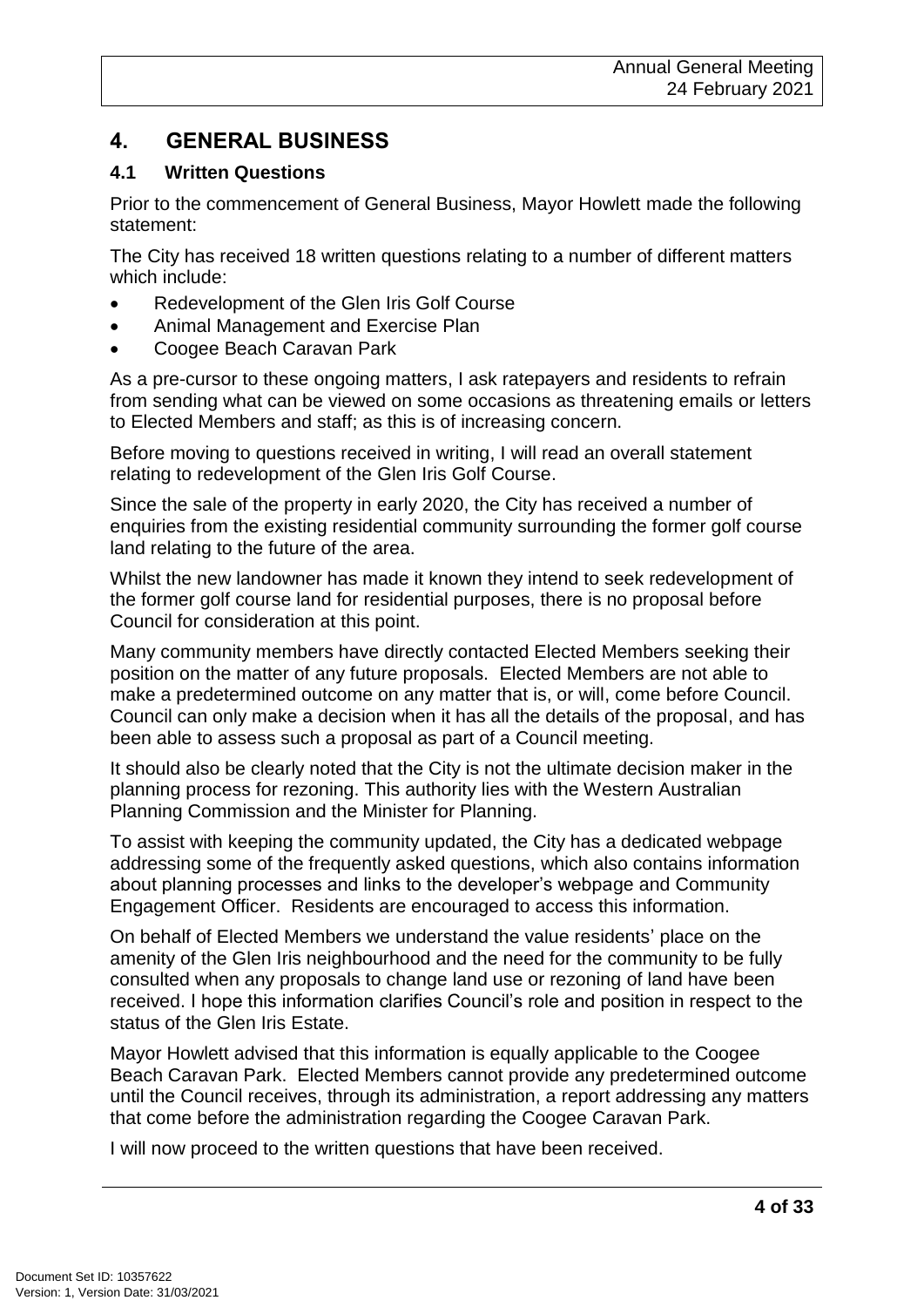## **4. GENERAL BUSINESS**

#### **4.1 Written Questions**

Prior to the commencement of General Business, Mayor Howlett made the following statement:

The City has received 18 written questions relating to a number of different matters which include:

- Redevelopment of the Glen Iris Golf Course
- Animal Management and Exercise Plan
- Coogee Beach Caravan Park

As a pre-cursor to these ongoing matters, I ask ratepayers and residents to refrain from sending what can be viewed on some occasions as threatening emails or letters to Elected Members and staff; as this is of increasing concern.

Before moving to questions received in writing, I will read an overall statement relating to redevelopment of the Glen Iris Golf Course.

Since the sale of the property in early 2020, the City has received a number of enquiries from the existing residential community surrounding the former golf course land relating to the future of the area.

Whilst the new landowner has made it known they intend to seek redevelopment of the former golf course land for residential purposes, there is no proposal before Council for consideration at this point.

Many community members have directly contacted Elected Members seeking their position on the matter of any future proposals. Elected Members are not able to make a predetermined outcome on any matter that is, or will, come before Council. Council can only make a decision when it has all the details of the proposal, and has been able to assess such a proposal as part of a Council meeting.

It should also be clearly noted that the City is not the ultimate decision maker in the planning process for rezoning. This authority lies with the Western Australian Planning Commission and the Minister for Planning.

To assist with keeping the community updated, the City has a dedicated webpage addressing some of the frequently asked questions, which also contains information about planning processes and links to the developer's webpage and Community Engagement Officer. Residents are encouraged to access this information.

On behalf of Elected Members we understand the value residents' place on the amenity of the Glen Iris neighbourhood and the need for the community to be fully consulted when any proposals to change land use or rezoning of land have been received. I hope this information clarifies Council's role and position in respect to the status of the Glen Iris Estate.

Mayor Howlett advised that this information is equally applicable to the Coogee Beach Caravan Park. Elected Members cannot provide any predetermined outcome until the Council receives, through its administration, a report addressing any matters that come before the administration regarding the Coogee Caravan Park.

I will now proceed to the written questions that have been received.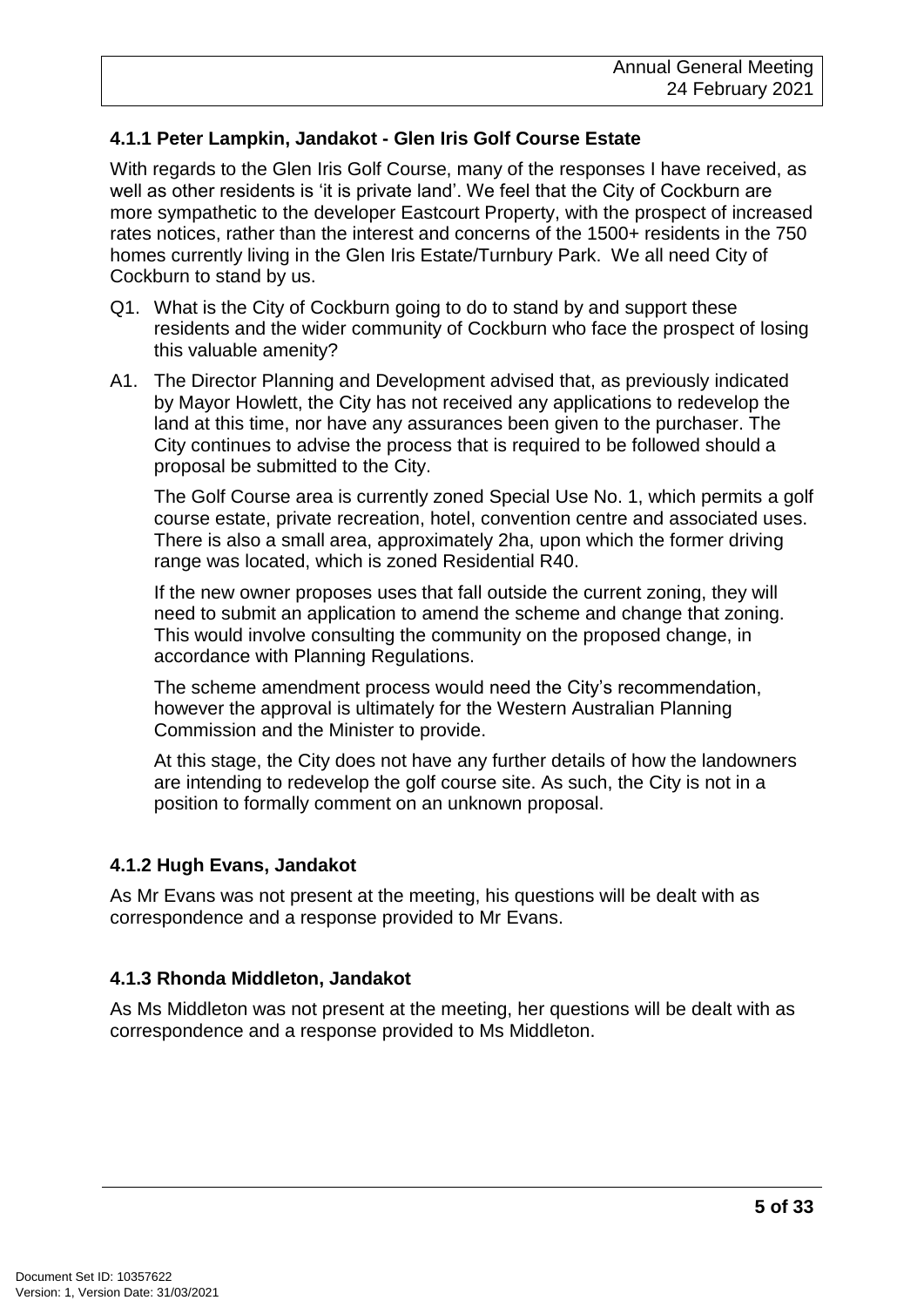#### **4.1.1 Peter Lampkin, Jandakot - Glen Iris Golf Course Estate**

With regards to the Glen Iris Golf Course, many of the responses I have received, as well as other residents is 'it is private land'. We feel that the City of Cockburn are more sympathetic to the developer Eastcourt Property, with the prospect of increased rates notices, rather than the interest and concerns of the 1500+ residents in the 750 homes currently living in the Glen Iris Estate/Turnbury Park. We all need City of Cockburn to stand by us.

- Q1. What is the City of Cockburn going to do to stand by and support these residents and the wider community of Cockburn who face the prospect of losing this valuable amenity?
- A1. The Director Planning and Development advised that, as previously indicated by Mayor Howlett, the City has not received any applications to redevelop the land at this time, nor have any assurances been given to the purchaser. The City continues to advise the process that is required to be followed should a proposal be submitted to the City.

The Golf Course area is currently zoned Special Use No. 1, which permits a golf course estate, private recreation, hotel, convention centre and associated uses. There is also a small area, approximately 2ha, upon which the former driving range was located, which is zoned Residential R40.

If the new owner proposes uses that fall outside the current zoning, they will need to submit an application to amend the scheme and change that zoning. This would involve consulting the community on the proposed change, in accordance with Planning Regulations.

The scheme amendment process would need the City's recommendation, however the approval is ultimately for the Western Australian Planning Commission and the Minister to provide.

At this stage, the City does not have any further details of how the landowners are intending to redevelop the golf course site. As such, the City is not in a position to formally comment on an unknown proposal.

#### **4.1.2 Hugh Evans, Jandakot**

As Mr Evans was not present at the meeting, his questions will be dealt with as correspondence and a response provided to Mr Evans.

#### **4.1.3 Rhonda Middleton, Jandakot**

As Ms Middleton was not present at the meeting, her questions will be dealt with as correspondence and a response provided to Ms Middleton.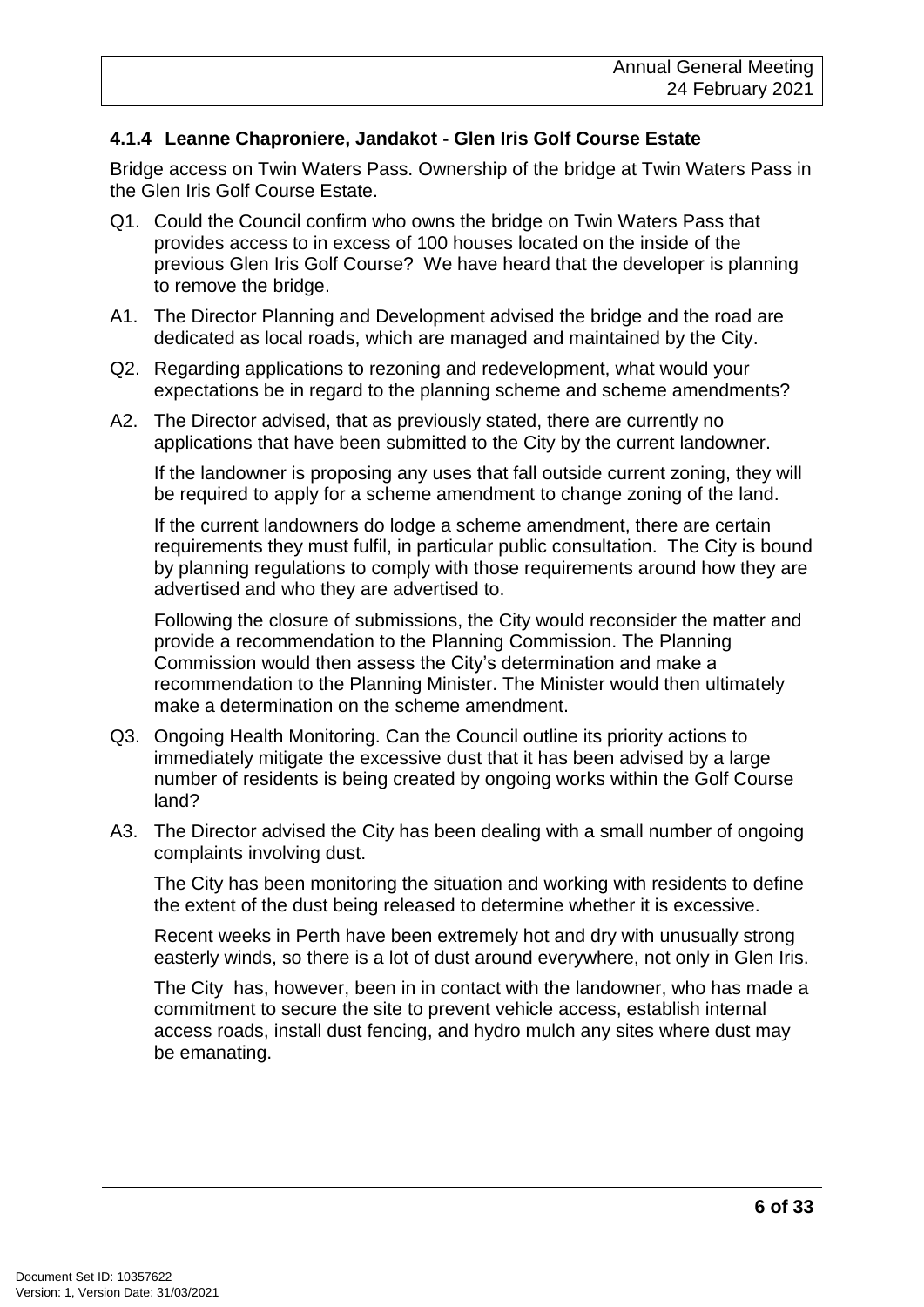#### **4.1.4 Leanne Chaproniere, Jandakot - Glen Iris Golf Course Estate**

Bridge access on Twin Waters Pass. Ownership of the bridge at Twin Waters Pass in the Glen Iris Golf Course Estate.

- Q1. Could the Council confirm who owns the bridge on Twin Waters Pass that provides access to in excess of 100 houses located on the inside of the previous Glen Iris Golf Course? We have heard that the developer is planning to remove the bridge.
- A1. The Director Planning and Development advised the bridge and the road are dedicated as local roads, which are managed and maintained by the City.
- Q2. Regarding applications to rezoning and redevelopment, what would your expectations be in regard to the planning scheme and scheme amendments?
- A2. The Director advised, that as previously stated, there are currently no applications that have been submitted to the City by the current landowner.

If the landowner is proposing any uses that fall outside current zoning, they will be required to apply for a scheme amendment to change zoning of the land.

If the current landowners do lodge a scheme amendment, there are certain requirements they must fulfil, in particular public consultation. The City is bound by planning regulations to comply with those requirements around how they are advertised and who they are advertised to.

Following the closure of submissions, the City would reconsider the matter and provide a recommendation to the Planning Commission. The Planning Commission would then assess the City's determination and make a recommendation to the Planning Minister. The Minister would then ultimately make a determination on the scheme amendment.

- Q3. Ongoing Health Monitoring. Can the Council outline its priority actions to immediately mitigate the excessive dust that it has been advised by a large number of residents is being created by ongoing works within the Golf Course land?
- A3. The Director advised the City has been dealing with a small number of ongoing complaints involving dust.

The City has been monitoring the situation and working with residents to define the extent of the dust being released to determine whether it is excessive.

Recent weeks in Perth have been extremely hot and dry with unusually strong easterly winds, so there is a lot of dust around everywhere, not only in Glen Iris.

The City has, however, been in in contact with the landowner, who has made a commitment to secure the site to prevent vehicle access, establish internal access roads, install dust fencing, and hydro mulch any sites where dust may be emanating.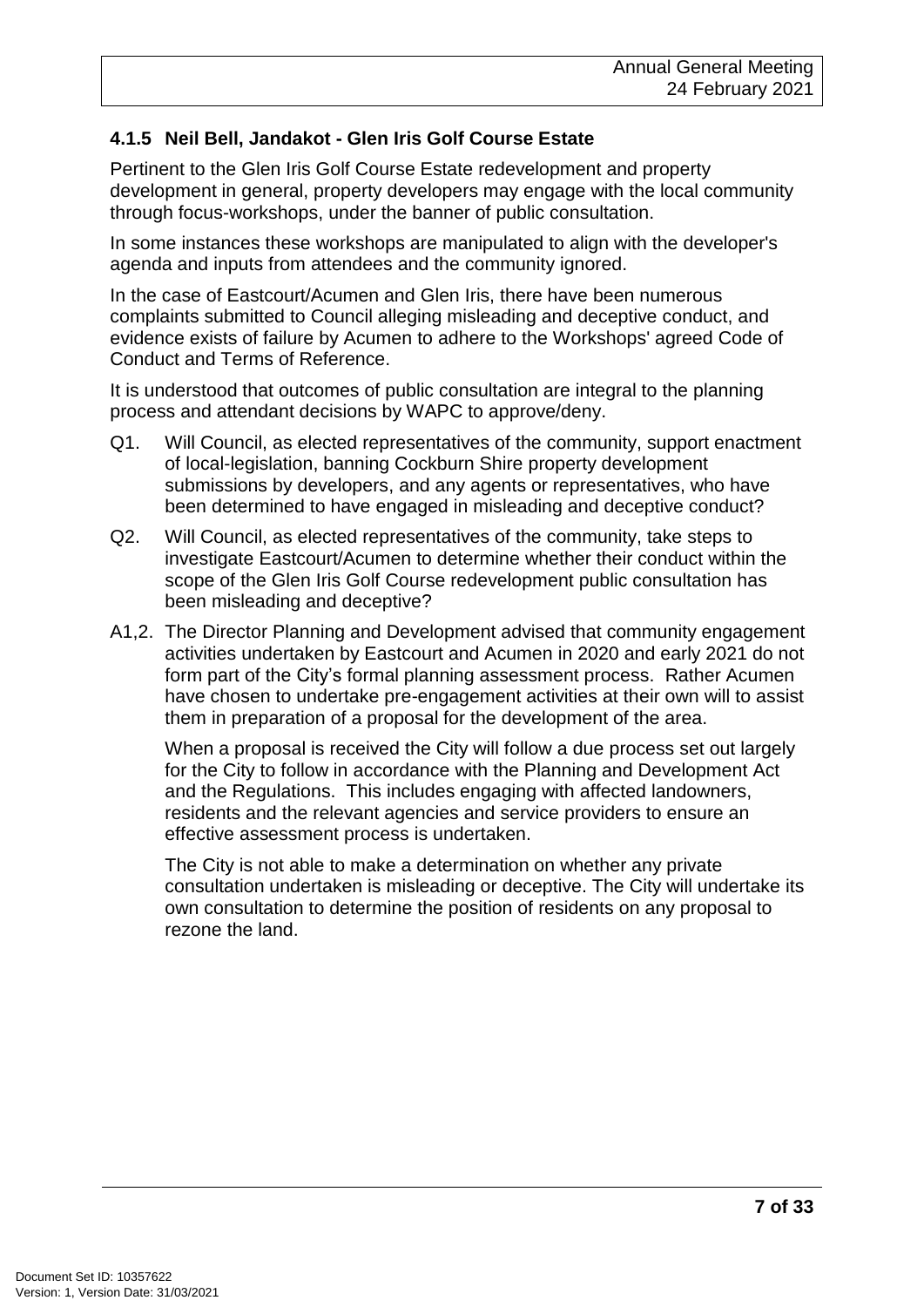#### **4.1.5 Neil Bell, Jandakot - Glen Iris Golf Course Estate**

Pertinent to the Glen Iris Golf Course Estate redevelopment and property development in general, property developers may engage with the local community through focus-workshops, under the banner of public consultation.

In some instances these workshops are manipulated to align with the developer's agenda and inputs from attendees and the community ignored.

In the case of Eastcourt/Acumen and Glen Iris, there have been numerous complaints submitted to Council alleging misleading and deceptive conduct, and evidence exists of failure by Acumen to adhere to the Workshops' agreed Code of Conduct and Terms of Reference.

It is understood that outcomes of public consultation are integral to the planning process and attendant decisions by WAPC to approve/deny.

- Q1. Will Council, as elected representatives of the community, support enactment of local-legislation, banning Cockburn Shire property development submissions by developers, and any agents or representatives, who have been determined to have engaged in misleading and deceptive conduct?
- Q2. Will Council, as elected representatives of the community, take steps to investigate Eastcourt/Acumen to determine whether their conduct within the scope of the Glen Iris Golf Course redevelopment public consultation has been misleading and deceptive?
- A1,2. The Director Planning and Development advised that community engagement activities undertaken by Eastcourt and Acumen in 2020 and early 2021 do not form part of the City's formal planning assessment process. Rather Acumen have chosen to undertake pre-engagement activities at their own will to assist them in preparation of a proposal for the development of the area.

When a proposal is received the City will follow a due process set out largely for the City to follow in accordance with the Planning and Development Act and the Regulations. This includes engaging with affected landowners, residents and the relevant agencies and service providers to ensure an effective assessment process is undertaken.

The City is not able to make a determination on whether any private consultation undertaken is misleading or deceptive. The City will undertake its own consultation to determine the position of residents on any proposal to rezone the land.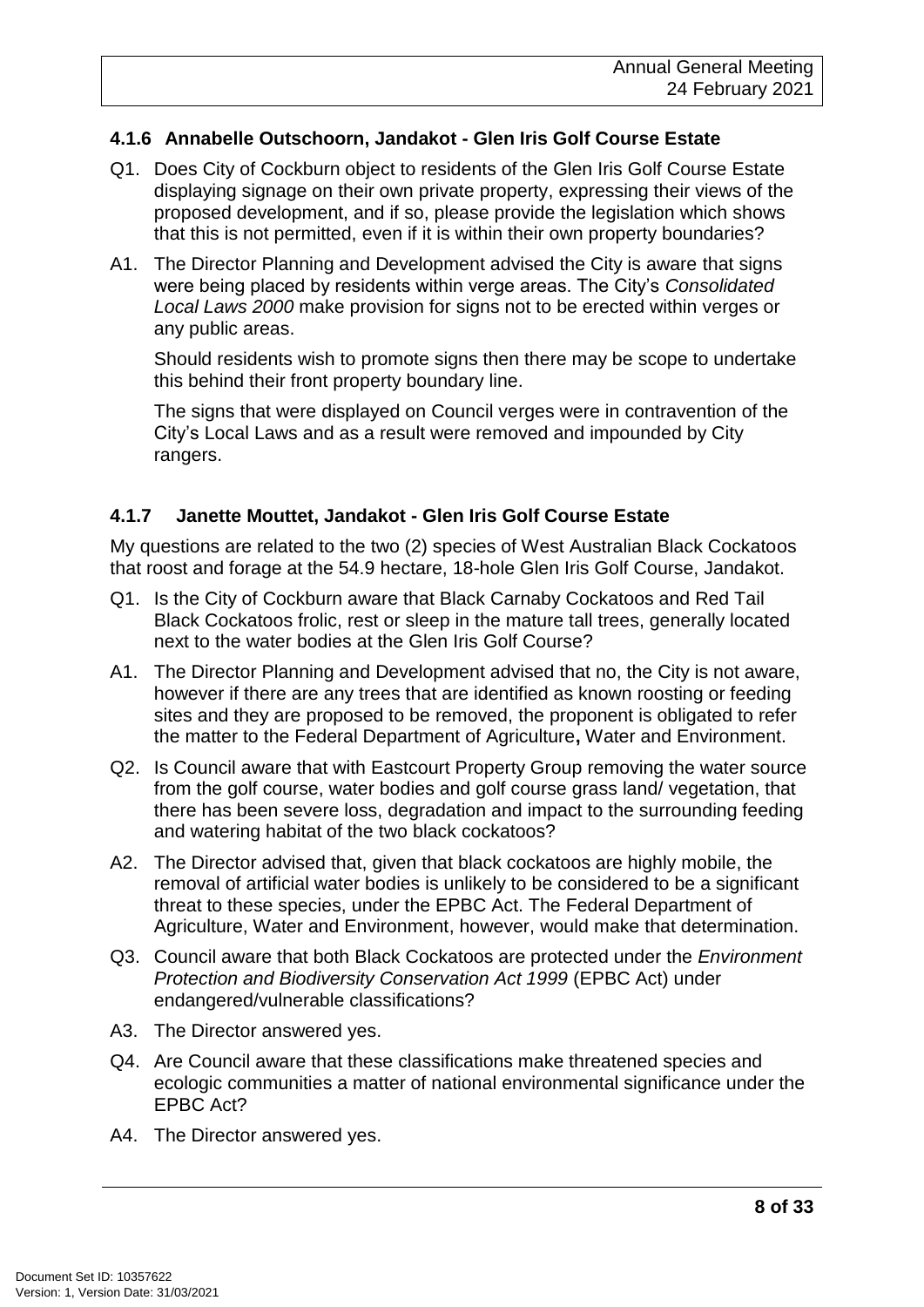#### **4.1.6 Annabelle Outschoorn, Jandakot - Glen Iris Golf Course Estate**

- Q1. Does City of Cockburn object to residents of the Glen Iris Golf Course Estate displaying signage on their own private property, expressing their views of the proposed development, and if so, please provide the legislation which shows that this is not permitted, even if it is within their own property boundaries?
- A1. The Director Planning and Development advised the City is aware that signs were being placed by residents within verge areas. The City's *Consolidated Local Laws 2000* make provision for signs not to be erected within verges or any public areas.

Should residents wish to promote signs then there may be scope to undertake this behind their front property boundary line.

The signs that were displayed on Council verges were in contravention of the City's Local Laws and as a result were removed and impounded by City rangers.

#### **4.1.7 Janette Mouttet, Jandakot - Glen Iris Golf Course Estate**

My questions are related to the two (2) species of West Australian Black Cockatoos that roost and forage at the 54.9 hectare, 18-hole Glen Iris Golf Course, Jandakot.

- Q1. Is the City of Cockburn aware that Black Carnaby Cockatoos and Red Tail Black Cockatoos frolic, rest or sleep in the mature tall trees, generally located next to the water bodies at the Glen Iris Golf Course?
- A1. The Director Planning and Development advised that no, the City is not aware, however if there are any trees that are identified as known roosting or feeding sites and they are proposed to be removed, the proponent is obligated to refer the matter to the Federal Department of Agriculture**,** Water and Environment.
- Q2. Is Council aware that with Eastcourt Property Group removing the water source from the golf course, water bodies and golf course grass land/ vegetation, that there has been severe loss, degradation and impact to the surrounding feeding and watering habitat of the two black cockatoos?
- A2. The Director advised that, given that black cockatoos are highly mobile, the removal of artificial water bodies is unlikely to be considered to be a significant threat to these species, under the EPBC Act. The Federal Department of Agriculture, Water and Environment, however, would make that determination.
- Q3. Council aware that both Black Cockatoos are protected under the *Environment Protection and Biodiversity Conservation Act 1999* (EPBC Act) under endangered/vulnerable classifications?
- A3. The Director answered yes.
- Q4. Are Council aware that these classifications make threatened species and ecologic communities a matter of national environmental significance under the EPBC Act?
- A4. The Director answered yes.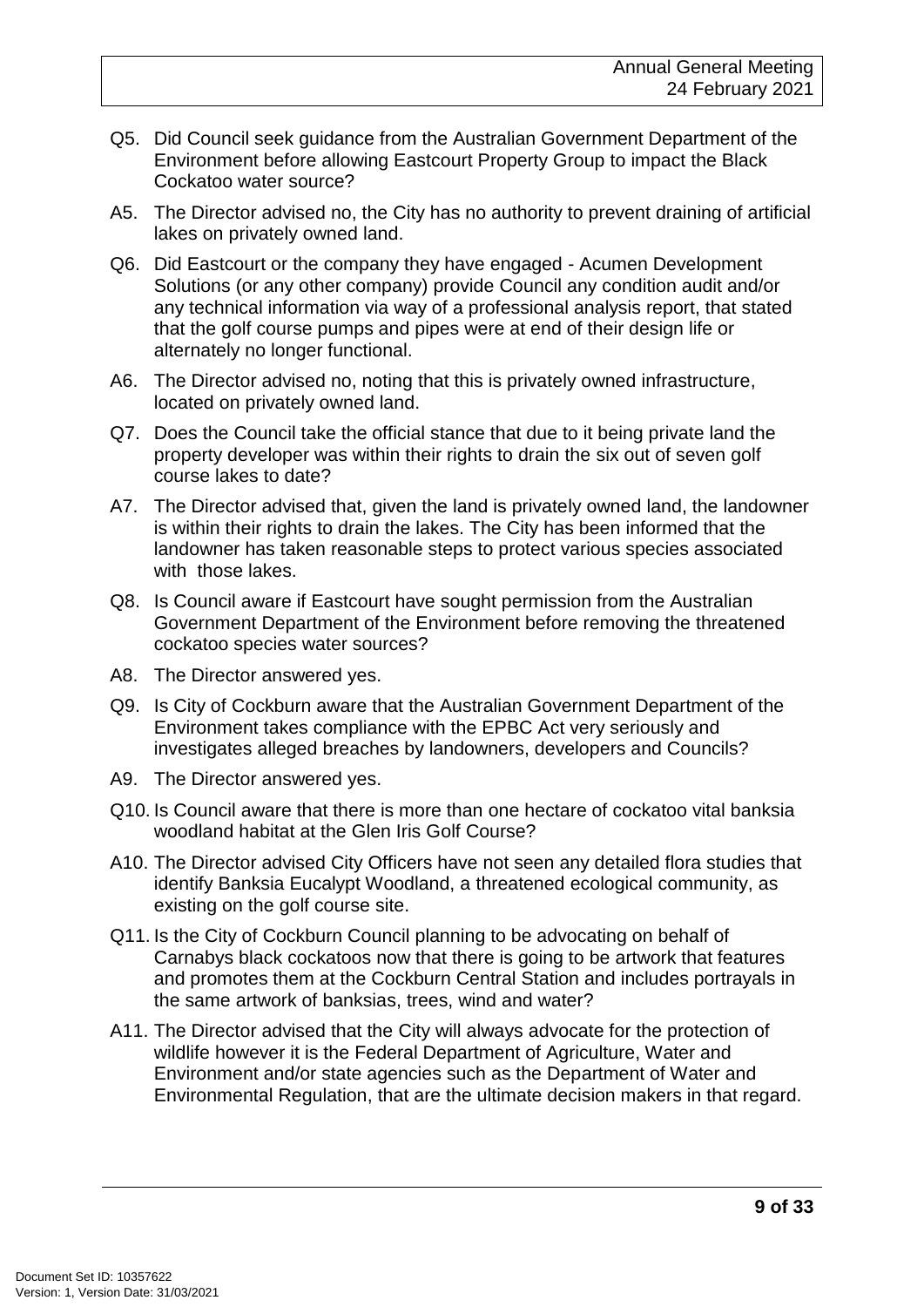- Q5. Did Council seek guidance from the Australian Government Department of the Environment before allowing Eastcourt Property Group to impact the Black Cockatoo water source?
- A5. The Director advised no, the City has no authority to prevent draining of artificial lakes on privately owned land.
- Q6. Did Eastcourt or the company they have engaged Acumen Development Solutions (or any other company) provide Council any condition audit and/or any technical information via way of a professional analysis report, that stated that the golf course pumps and pipes were at end of their design life or alternately no longer functional.
- A6. The Director advised no, noting that this is privately owned infrastructure, located on privately owned land.
- Q7. Does the Council take the official stance that due to it being private land the property developer was within their rights to drain the six out of seven golf course lakes to date?
- A7. The Director advised that, given the land is privately owned land, the landowner is within their rights to drain the lakes. The City has been informed that the landowner has taken reasonable steps to protect various species associated with those lakes.
- Q8. Is Council aware if Eastcourt have sought permission from the Australian Government Department of the Environment before removing the threatened cockatoo species water sources?
- A8. The Director answered yes.
- Q9. Is City of Cockburn aware that the Australian Government Department of the Environment takes compliance with the EPBC Act very seriously and investigates alleged breaches by landowners, developers and Councils?
- A9. The Director answered yes.
- Q10. Is Council aware that there is more than one hectare of cockatoo vital banksia woodland habitat at the Glen Iris Golf Course?
- A10. The Director advised City Officers have not seen any detailed flora studies that identify Banksia Eucalypt Woodland, a threatened ecological community, as existing on the golf course site.
- Q11. Is the City of Cockburn Council planning to be advocating on behalf of Carnabys black cockatoos now that there is going to be artwork that features and promotes them at the Cockburn Central Station and includes portrayals in the same artwork of banksias, trees, wind and water?
- A11. The Director advised that the City will always advocate for the protection of wildlife however it is the Federal Department of Agriculture, Water and Environment and/or state agencies such as the Department of Water and Environmental Regulation, that are the ultimate decision makers in that regard.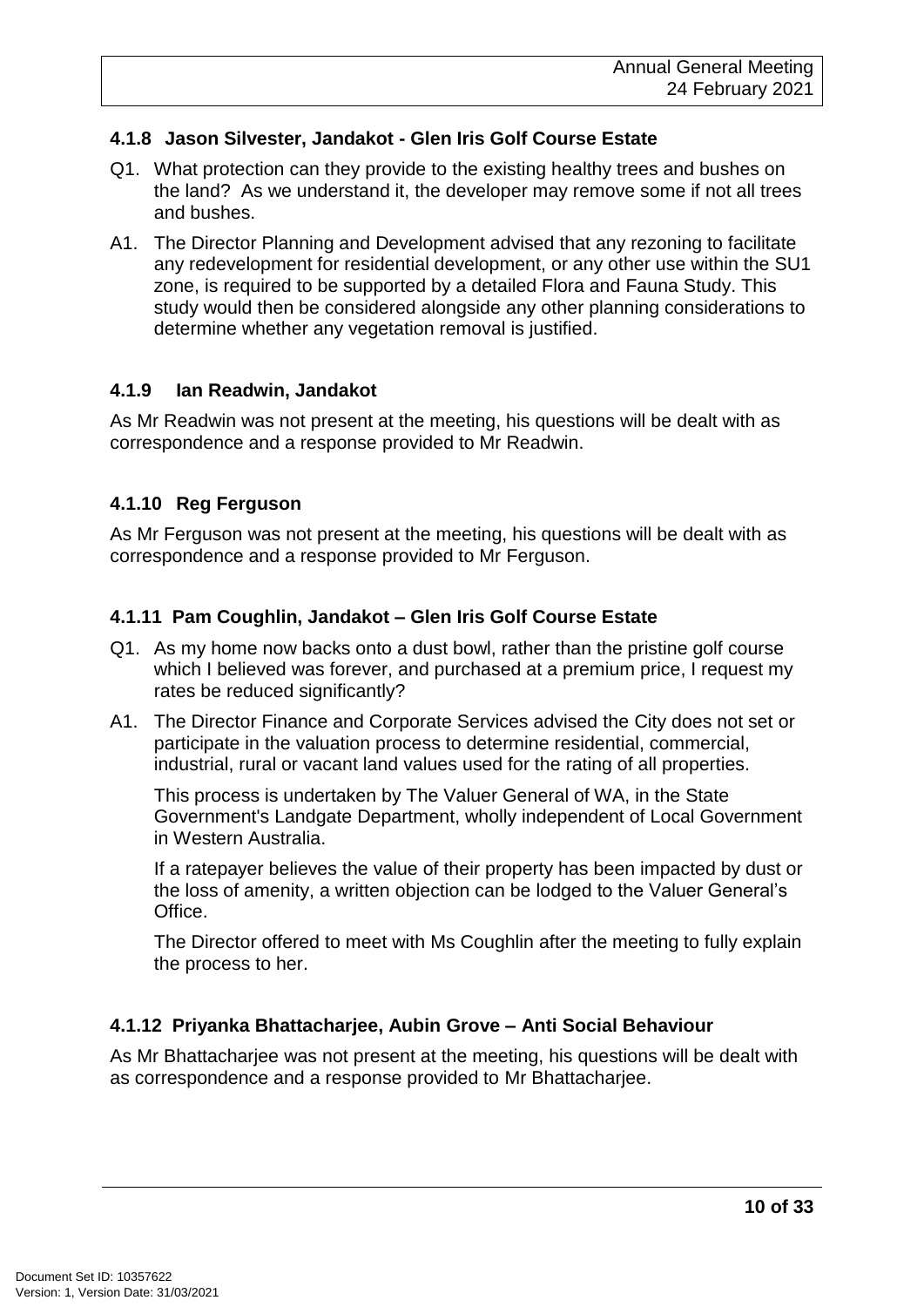#### **4.1.8 Jason Silvester, Jandakot - Glen Iris Golf Course Estate**

- Q1. What protection can they provide to the existing healthy trees and bushes on the land? As we understand it, the developer may remove some if not all trees and bushes.
- A1. The Director Planning and Development advised that any rezoning to facilitate any redevelopment for residential development, or any other use within the SU1 zone, is required to be supported by a detailed Flora and Fauna Study. This study would then be considered alongside any other planning considerations to determine whether any vegetation removal is justified.

#### **4.1.9 Ian Readwin, Jandakot**

As Mr Readwin was not present at the meeting, his questions will be dealt with as correspondence and a response provided to Mr Readwin.

#### **4.1.10 Reg Ferguson**

As Mr Ferguson was not present at the meeting, his questions will be dealt with as correspondence and a response provided to Mr Ferguson.

#### **4.1.11 Pam Coughlin, Jandakot – Glen Iris Golf Course Estate**

- Q1. As my home now backs onto a dust bowl, rather than the pristine golf course which I believed was forever, and purchased at a premium price. I request mv rates be reduced significantly?
- A1. The Director Finance and Corporate Services advised the City does not set or participate in the valuation process to determine residential, commercial, industrial, rural or vacant land values used for the rating of all properties.

This process is undertaken by The Valuer General of WA, in the State Government's Landgate Department, wholly independent of Local Government in Western Australia.

If a ratepayer believes the value of their property has been impacted by dust or the loss of amenity, a written objection can be lodged to the Valuer General's Office.

The Director offered to meet with Ms Coughlin after the meeting to fully explain the process to her.

#### **4.1.12 Priyanka Bhattacharjee, Aubin Grove – Anti Social Behaviour**

As Mr Bhattacharjee was not present at the meeting, his questions will be dealt with as correspondence and a response provided to Mr Bhattacharjee.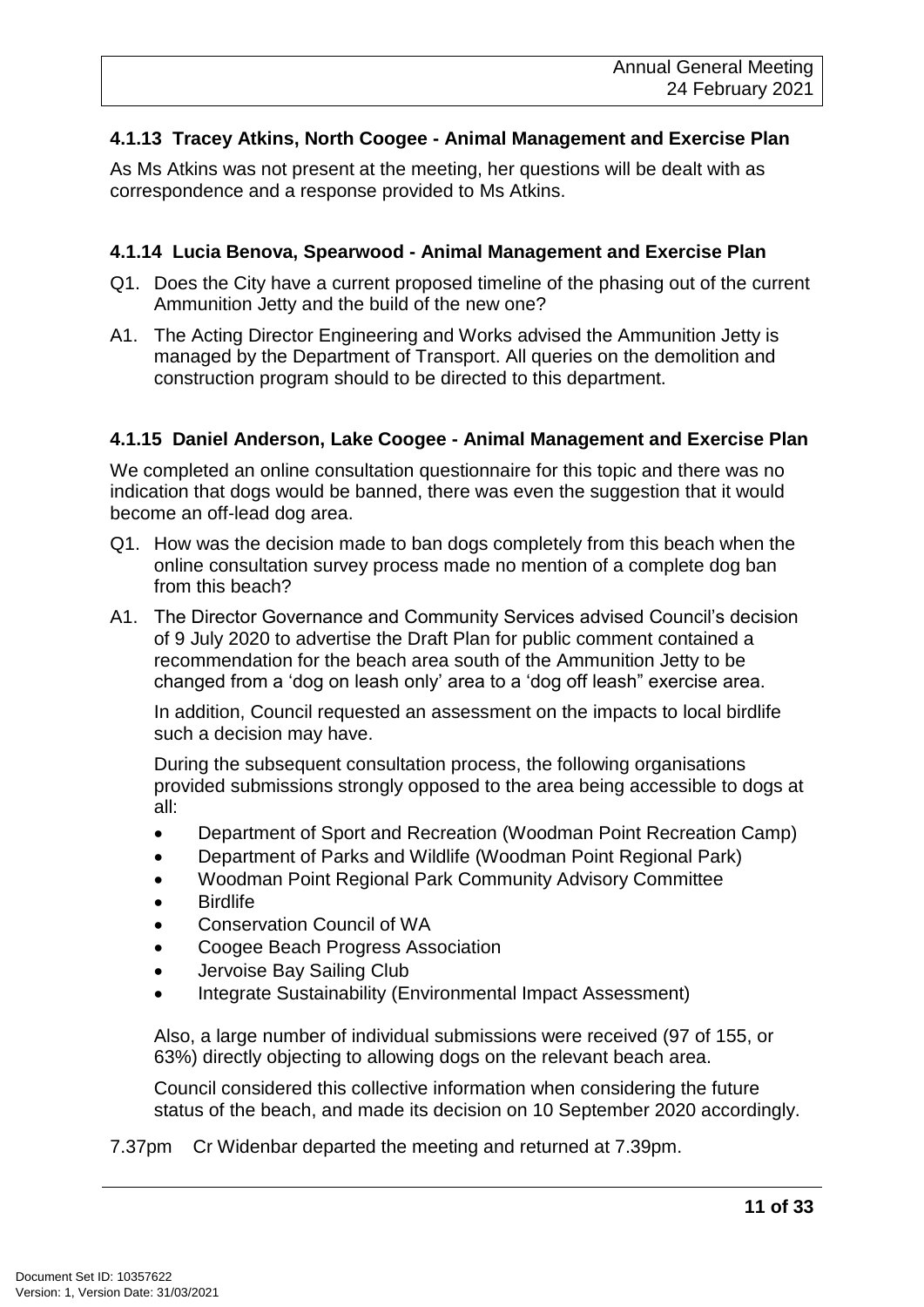#### **4.1.13 Tracey Atkins, North Coogee - Animal Management and Exercise Plan**

As Ms Atkins was not present at the meeting, her questions will be dealt with as correspondence and a response provided to Ms Atkins.

#### **4.1.14 Lucia Benova, Spearwood - Animal Management and Exercise Plan**

- Q1. Does the City have a current proposed timeline of the phasing out of the current Ammunition Jetty and the build of the new one?
- A1. The Acting Director Engineering and Works advised the Ammunition Jetty is managed by the Department of Transport. All queries on the demolition and construction program should to be directed to this department.

#### **4.1.15 Daniel Anderson, Lake Coogee - Animal Management and Exercise Plan**

We completed an online consultation questionnaire for this topic and there was no indication that dogs would be banned, there was even the suggestion that it would become an off-lead dog area.

- Q1. How was the decision made to ban dogs completely from this beach when the online consultation survey process made no mention of a complete dog ban from this beach?
- A1. The Director Governance and Community Services advised Council's decision of 9 July 2020 to advertise the Draft Plan for public comment contained a recommendation for the beach area south of the Ammunition Jetty to be changed from a 'dog on leash only' area to a 'dog off leash" exercise area.

In addition, Council requested an assessment on the impacts to local birdlife such a decision may have.

During the subsequent consultation process, the following organisations provided submissions strongly opposed to the area being accessible to dogs at all:

- Department of Sport and Recreation (Woodman Point Recreation Camp)
- Department of Parks and Wildlife (Woodman Point Regional Park)
- Woodman Point Regional Park Community Advisory Committee
- **Birdlife**
- Conservation Council of WA
- Coogee Beach Progress Association
- Jervoise Bay Sailing Club
- Integrate Sustainability (Environmental Impact Assessment)

Also, a large number of individual submissions were received (97 of 155, or 63%) directly objecting to allowing dogs on the relevant beach area.

Council considered this collective information when considering the future status of the beach, and made its decision on 10 September 2020 accordingly.

7.37pm Cr Widenbar departed the meeting and returned at 7.39pm.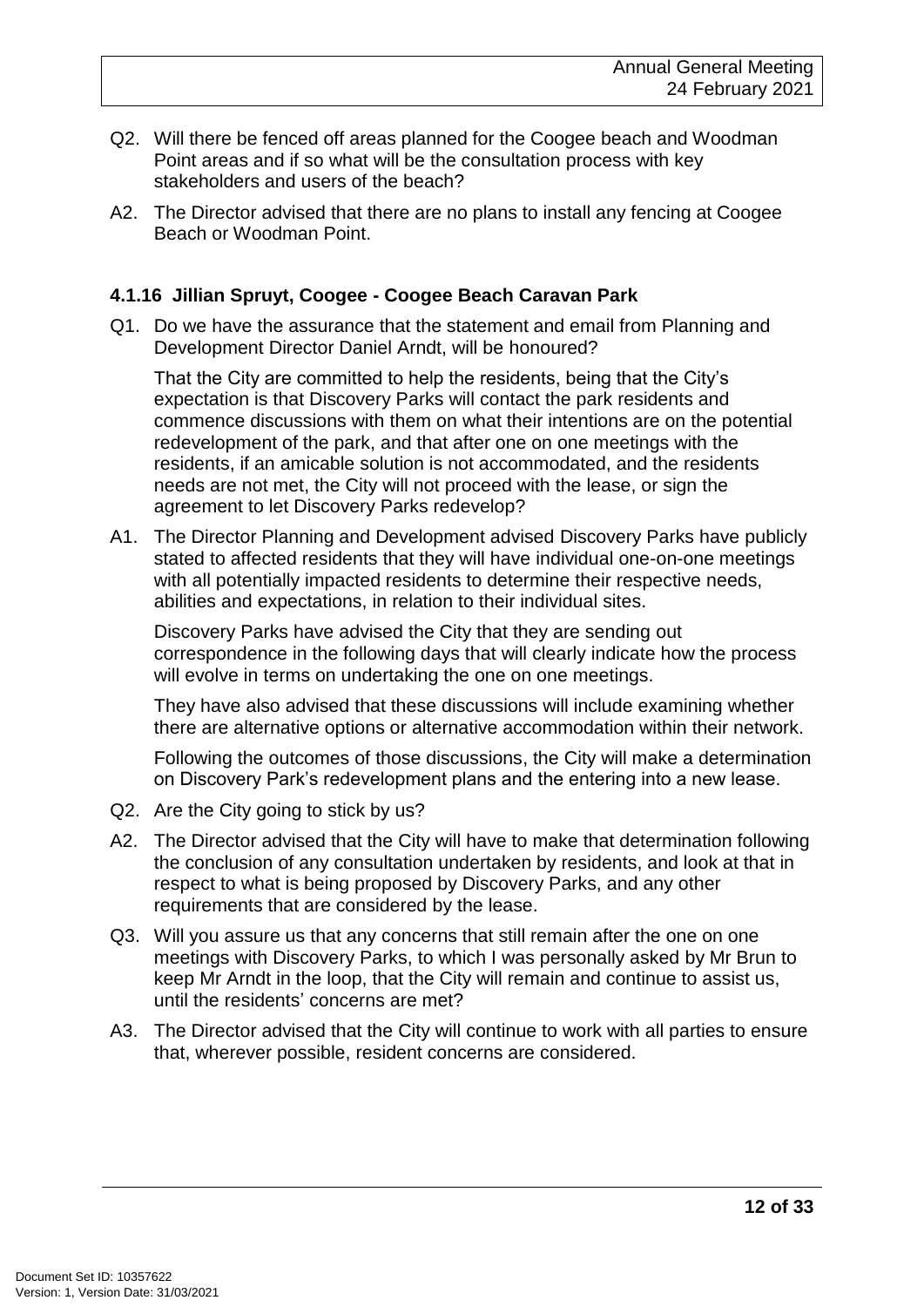- Q2. Will there be fenced off areas planned for the Coogee beach and Woodman Point areas and if so what will be the consultation process with key stakeholders and users of the beach?
- A2. The Director advised that there are no plans to install any fencing at Coogee Beach or Woodman Point.

#### **4.1.16 Jillian Spruyt, Coogee - Coogee Beach Caravan Park**

Q1. Do we have the assurance that the statement and email from Planning and Development Director Daniel Arndt, will be honoured?

That the City are committed to help the residents, being that the City's expectation is that Discovery Parks will contact the park residents and commence discussions with them on what their intentions are on the potential redevelopment of the park, and that after one on one meetings with the residents, if an amicable solution is not accommodated, and the residents needs are not met, the City will not proceed with the lease, or sign the agreement to let Discovery Parks redevelop?

A1. The Director Planning and Development advised Discovery Parks have publicly stated to affected residents that they will have individual one-on-one meetings with all potentially impacted residents to determine their respective needs, abilities and expectations, in relation to their individual sites.

Discovery Parks have advised the City that they are sending out correspondence in the following days that will clearly indicate how the process will evolve in terms on undertaking the one on one meetings.

They have also advised that these discussions will include examining whether there are alternative options or alternative accommodation within their network.

Following the outcomes of those discussions, the City will make a determination on Discovery Park's redevelopment plans and the entering into a new lease.

- Q2. Are the City going to stick by us?
- A2. The Director advised that the City will have to make that determination following the conclusion of any consultation undertaken by residents, and look at that in respect to what is being proposed by Discovery Parks, and any other requirements that are considered by the lease.
- Q3. Will you assure us that any concerns that still remain after the one on one meetings with Discovery Parks, to which I was personally asked by Mr Brun to keep Mr Arndt in the loop, that the City will remain and continue to assist us, until the residents' concerns are met?
- A3. The Director advised that the City will continue to work with all parties to ensure that, wherever possible, resident concerns are considered.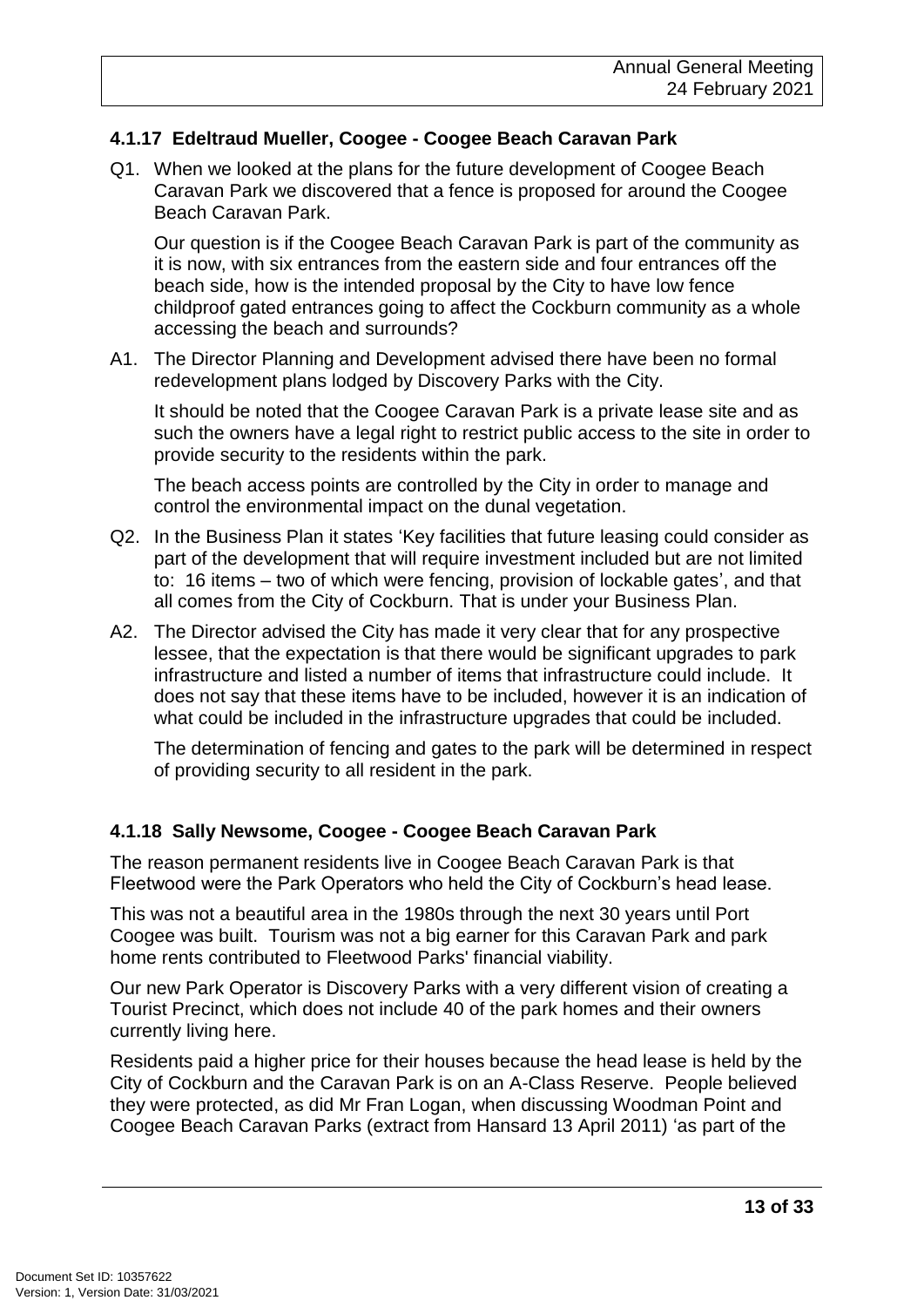#### **4.1.17 Edeltraud Mueller, Coogee - Coogee Beach Caravan Park**

Q1. When we looked at the plans for the future development of Coogee Beach Caravan Park we discovered that a fence is proposed for around the Coogee Beach Caravan Park.

Our question is if the Coogee Beach Caravan Park is part of the community as it is now, with six entrances from the eastern side and four entrances off the beach side, how is the intended proposal by the City to have low fence childproof gated entrances going to affect the Cockburn community as a whole accessing the beach and surrounds?

A1. The Director Planning and Development advised there have been no formal redevelopment plans lodged by Discovery Parks with the City.

It should be noted that the Coogee Caravan Park is a private lease site and as such the owners have a legal right to restrict public access to the site in order to provide security to the residents within the park.

The beach access points are controlled by the City in order to manage and control the environmental impact on the dunal vegetation.

- Q2. In the Business Plan it states 'Key facilities that future leasing could consider as part of the development that will require investment included but are not limited to: 16 items – two of which were fencing, provision of lockable gates', and that all comes from the City of Cockburn. That is under your Business Plan.
- A2. The Director advised the City has made it very clear that for any prospective lessee, that the expectation is that there would be significant upgrades to park infrastructure and listed a number of items that infrastructure could include. It does not say that these items have to be included, however it is an indication of what could be included in the infrastructure upgrades that could be included.

The determination of fencing and gates to the park will be determined in respect of providing security to all resident in the park.

#### **4.1.18 Sally Newsome, Coogee - Coogee Beach Caravan Park**

The reason permanent residents live in Coogee Beach Caravan Park is that Fleetwood were the Park Operators who held the City of Cockburn's head lease.

This was not a beautiful area in the 1980s through the next 30 years until Port Coogee was built. Tourism was not a big earner for this Caravan Park and park home rents contributed to Fleetwood Parks' financial viability.

Our new Park Operator is Discovery Parks with a very different vision of creating a Tourist Precinct, which does not include 40 of the park homes and their owners currently living here.

Residents paid a higher price for their houses because the head lease is held by the City of Cockburn and the Caravan Park is on an A-Class Reserve. People believed they were protected, as did Mr Fran Logan, when discussing Woodman Point and Coogee Beach Caravan Parks (extract from Hansard 13 April 2011) 'as part of the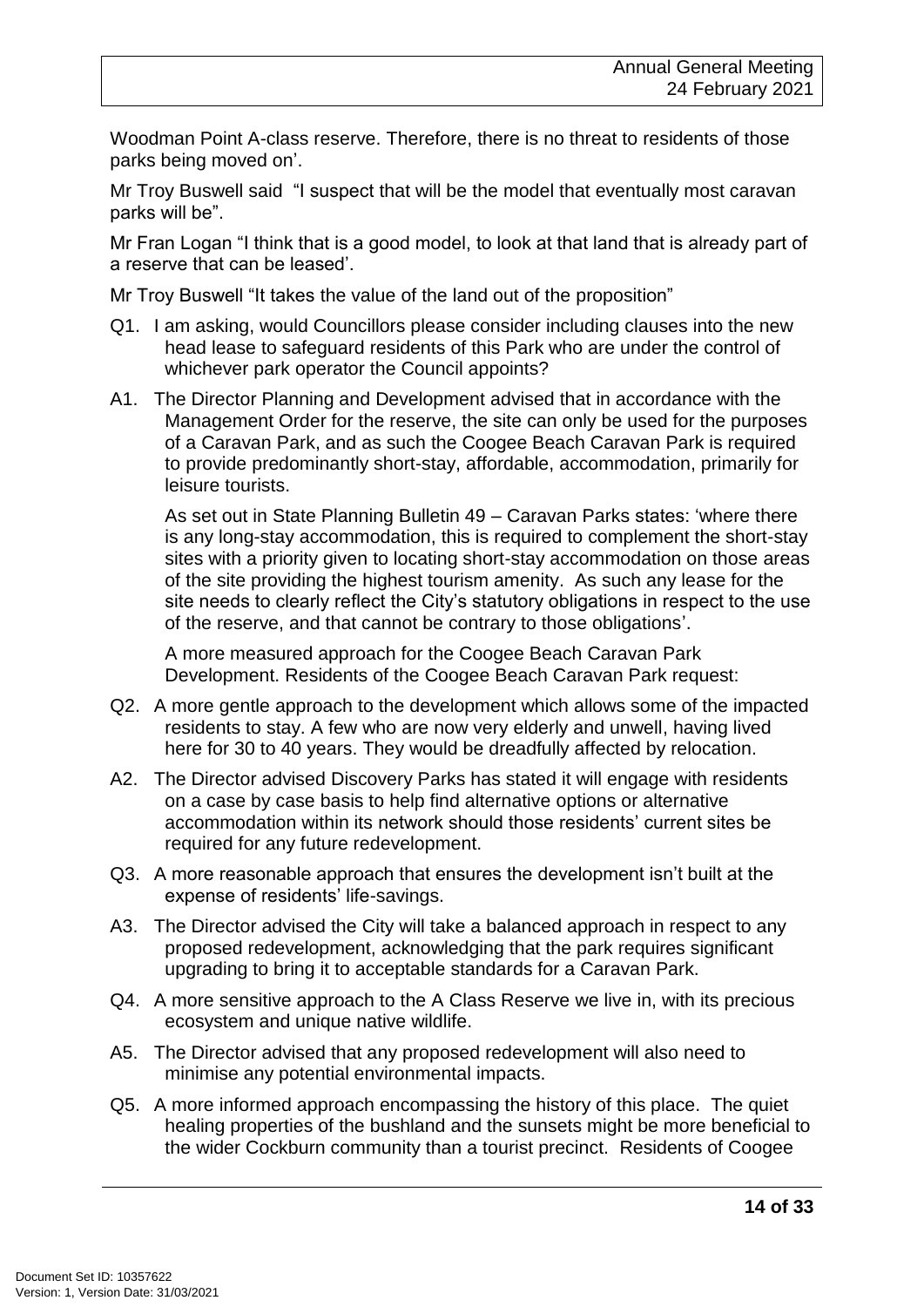Woodman Point A-class reserve. Therefore, there is no threat to residents of those parks being moved on'.

Mr Troy Buswell said "I suspect that will be the model that eventually most caravan parks will be".

Mr Fran Logan "I think that is a good model, to look at that land that is already part of a reserve that can be leased'.

Mr Troy Buswell "It takes the value of the land out of the proposition"

- Q1. I am asking, would Councillors please consider including clauses into the new head lease to safeguard residents of this Park who are under the control of whichever park operator the Council appoints?
- A1. The Director Planning and Development advised that in accordance with the Management Order for the reserve, the site can only be used for the purposes of a Caravan Park, and as such the Coogee Beach Caravan Park is required to provide predominantly short-stay, affordable, accommodation, primarily for leisure tourists.

As set out in State Planning Bulletin 49 – Caravan Parks states: 'where there is any long-stay accommodation, this is required to complement the short-stay sites with a priority given to locating short-stay accommodation on those areas of the site providing the highest tourism amenity. As such any lease for the site needs to clearly reflect the City's statutory obligations in respect to the use of the reserve, and that cannot be contrary to those obligations'.

A more measured approach for the Coogee Beach Caravan Park Development. Residents of the Coogee Beach Caravan Park request:

- Q2. A more gentle approach to the development which allows some of the impacted residents to stay. A few who are now very elderly and unwell, having lived here for 30 to 40 years. They would be dreadfully affected by relocation.
- A2. The Director advised Discovery Parks has stated it will engage with residents on a case by case basis to help find alternative options or alternative accommodation within its network should those residents' current sites be required for any future redevelopment.
- Q3. A more reasonable approach that ensures the development isn't built at the expense of residents' life-savings.
- A3. The Director advised the City will take a balanced approach in respect to any proposed redevelopment, acknowledging that the park requires significant upgrading to bring it to acceptable standards for a Caravan Park.
- Q4. A more sensitive approach to the A Class Reserve we live in, with its precious ecosystem and unique native wildlife.
- A5. The Director advised that any proposed redevelopment will also need to minimise any potential environmental impacts.
- Q5. A more informed approach encompassing the history of this place. The quiet healing properties of the bushland and the sunsets might be more beneficial to the wider Cockburn community than a tourist precinct. Residents of Coogee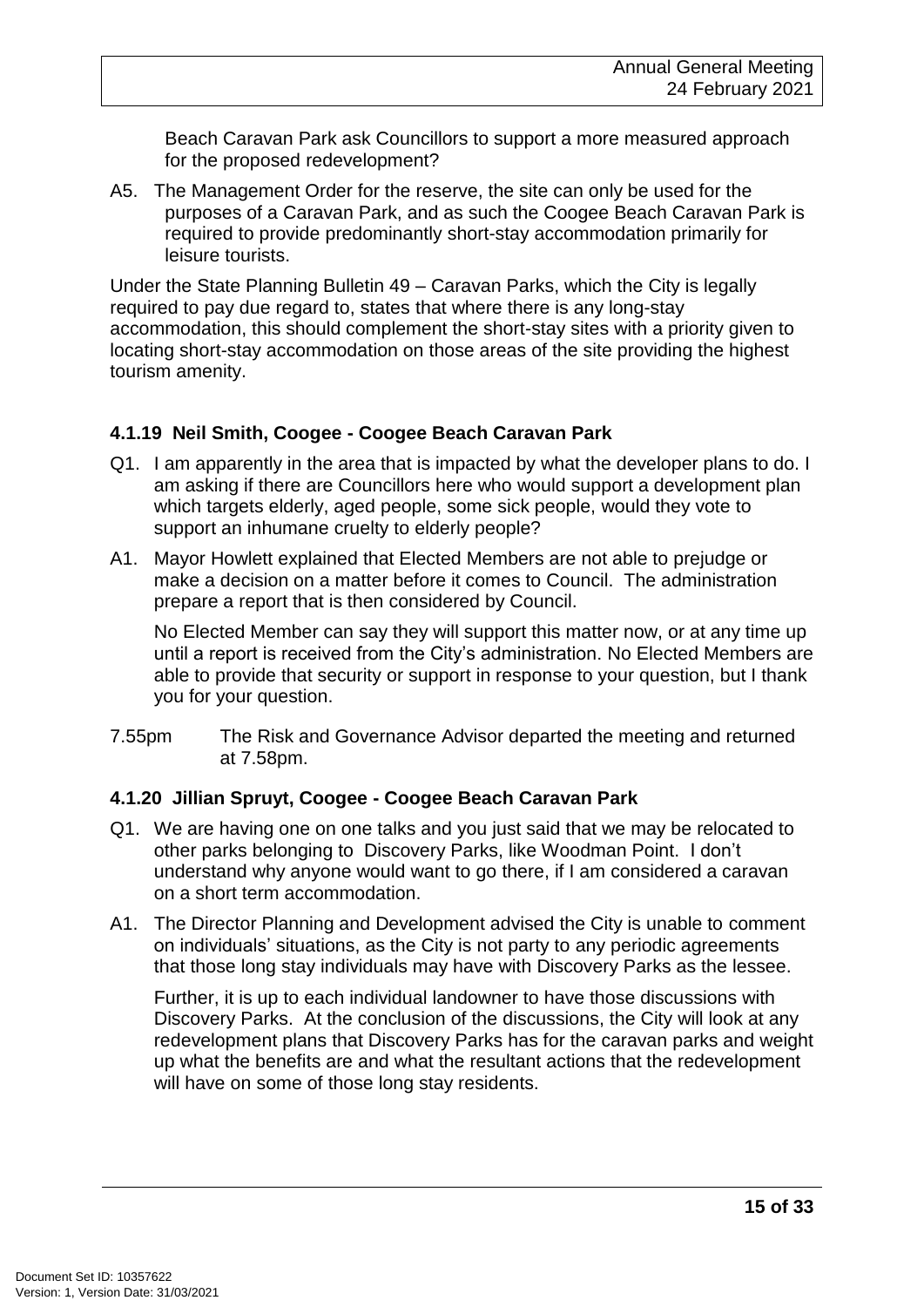Beach Caravan Park ask Councillors to support a more measured approach for the proposed redevelopment?

A5. The Management Order for the reserve, the site can only be used for the purposes of a Caravan Park, and as such the Coogee Beach Caravan Park is required to provide predominantly short-stay accommodation primarily for leisure tourists.

Under the State Planning Bulletin 49 – Caravan Parks, which the City is legally required to pay due regard to, states that where there is any long-stay accommodation, this should complement the short-stay sites with a priority given to locating short-stay accommodation on those areas of the site providing the highest tourism amenity.

#### **4.1.19 Neil Smith, Coogee - Coogee Beach Caravan Park**

- Q1. I am apparently in the area that is impacted by what the developer plans to do. I am asking if there are Councillors here who would support a development plan which targets elderly, aged people, some sick people, would they vote to support an inhumane cruelty to elderly people?
- A1. Mayor Howlett explained that Elected Members are not able to prejudge or make a decision on a matter before it comes to Council. The administration prepare a report that is then considered by Council.

No Elected Member can say they will support this matter now, or at any time up until a report is received from the City's administration. No Elected Members are able to provide that security or support in response to your question, but I thank you for your question.

7.55pm The Risk and Governance Advisor departed the meeting and returned at 7.58pm.

#### **4.1.20 Jillian Spruyt, Coogee - Coogee Beach Caravan Park**

- Q1. We are having one on one talks and you just said that we may be relocated to other parks belonging to Discovery Parks, like Woodman Point. I don't understand why anyone would want to go there, if I am considered a caravan on a short term accommodation.
- A1. The Director Planning and Development advised the City is unable to comment on individuals' situations, as the City is not party to any periodic agreements that those long stay individuals may have with Discovery Parks as the lessee.

Further, it is up to each individual landowner to have those discussions with Discovery Parks. At the conclusion of the discussions, the City will look at any redevelopment plans that Discovery Parks has for the caravan parks and weight up what the benefits are and what the resultant actions that the redevelopment will have on some of those long stay residents.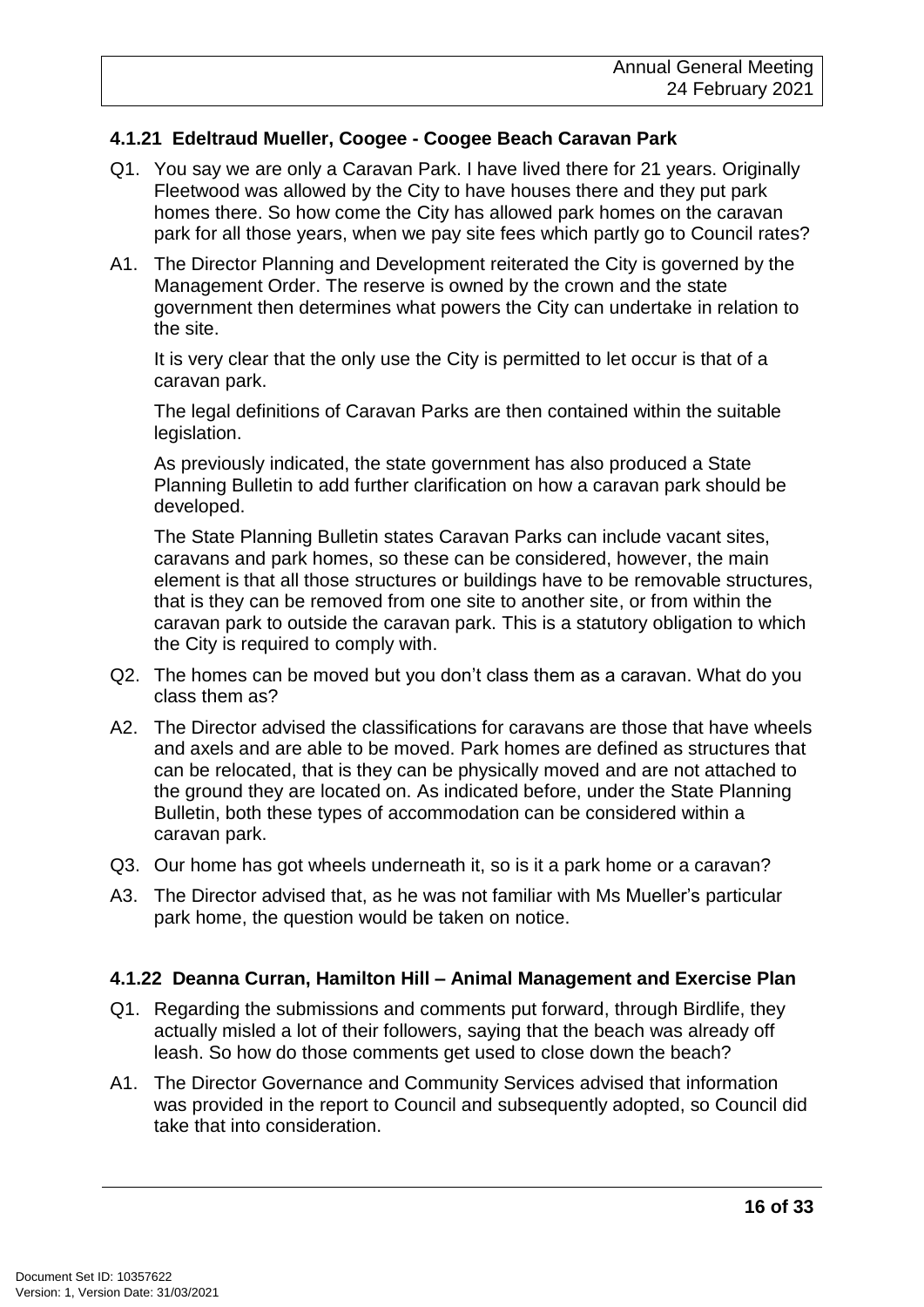#### **4.1.21 Edeltraud Mueller, Coogee - Coogee Beach Caravan Park**

- Q1. You say we are only a Caravan Park. I have lived there for 21 years. Originally Fleetwood was allowed by the City to have houses there and they put park homes there. So how come the City has allowed park homes on the caravan park for all those years, when we pay site fees which partly go to Council rates?
- A1. The Director Planning and Development reiterated the City is governed by the Management Order. The reserve is owned by the crown and the state government then determines what powers the City can undertake in relation to the site.

It is very clear that the only use the City is permitted to let occur is that of a caravan park.

The legal definitions of Caravan Parks are then contained within the suitable legislation.

As previously indicated, the state government has also produced a State Planning Bulletin to add further clarification on how a caravan park should be developed.

The State Planning Bulletin states Caravan Parks can include vacant sites, caravans and park homes, so these can be considered, however, the main element is that all those structures or buildings have to be removable structures, that is they can be removed from one site to another site, or from within the caravan park to outside the caravan park. This is a statutory obligation to which the City is required to comply with.

- Q2. The homes can be moved but you don't class them as a caravan. What do you class them as?
- A2. The Director advised the classifications for caravans are those that have wheels and axels and are able to be moved. Park homes are defined as structures that can be relocated, that is they can be physically moved and are not attached to the ground they are located on. As indicated before, under the State Planning Bulletin, both these types of accommodation can be considered within a caravan park.
- Q3. Our home has got wheels underneath it, so is it a park home or a caravan?
- A3. The Director advised that, as he was not familiar with Ms Mueller's particular park home, the question would be taken on notice.

#### **4.1.22 Deanna Curran, Hamilton Hill – Animal Management and Exercise Plan**

- Q1. Regarding the submissions and comments put forward, through Birdlife, they actually misled a lot of their followers, saying that the beach was already off leash. So how do those comments get used to close down the beach?
- A1. The Director Governance and Community Services advised that information was provided in the report to Council and subsequently adopted, so Council did take that into consideration.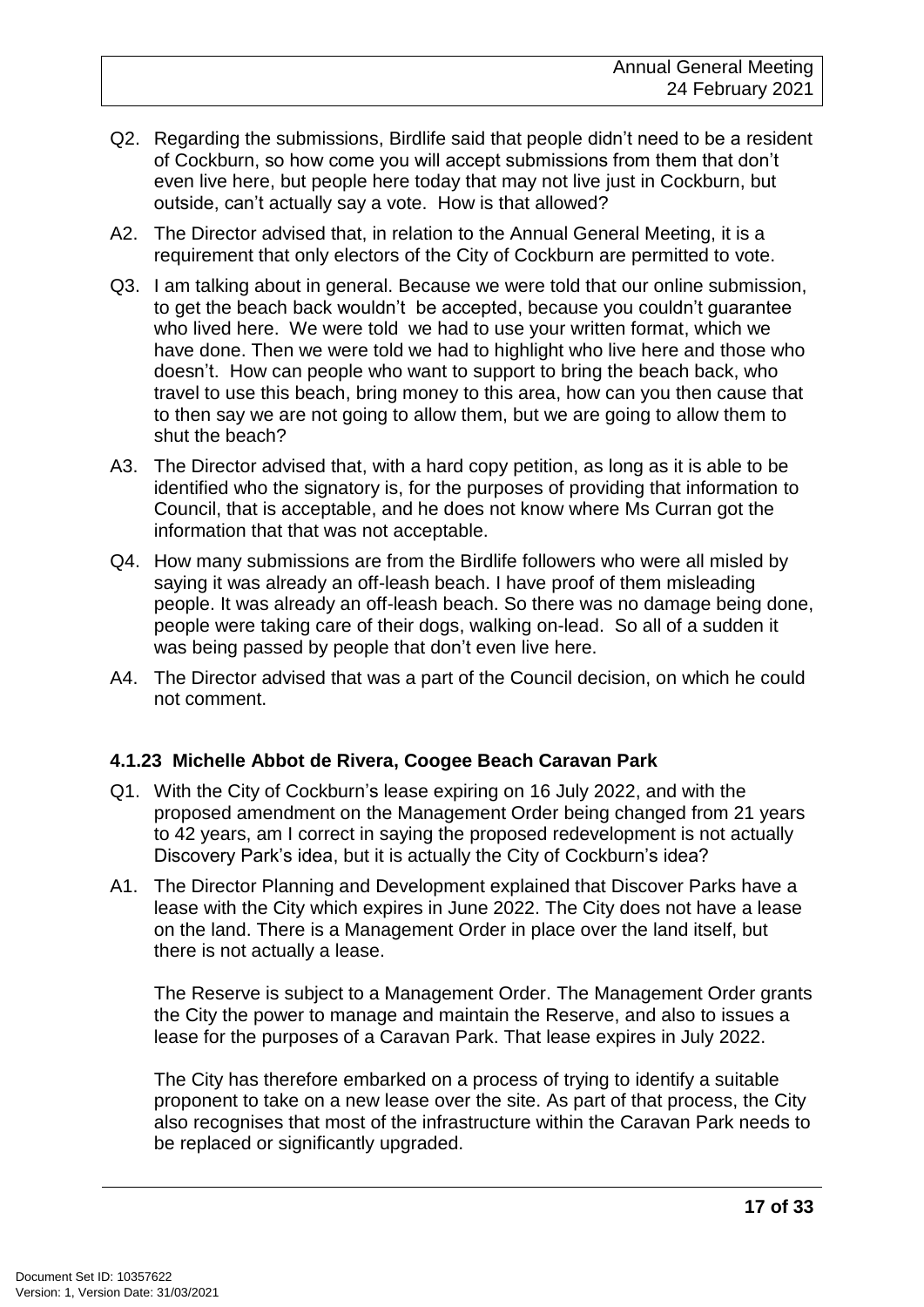- Q2. Regarding the submissions, Birdlife said that people didn't need to be a resident of Cockburn, so how come you will accept submissions from them that don't even live here, but people here today that may not live just in Cockburn, but outside, can't actually say a vote. How is that allowed?
- A2. The Director advised that, in relation to the Annual General Meeting, it is a requirement that only electors of the City of Cockburn are permitted to vote.
- Q3. I am talking about in general. Because we were told that our online submission, to get the beach back wouldn't be accepted, because you couldn't guarantee who lived here. We were told we had to use your written format, which we have done. Then we were told we had to highlight who live here and those who doesn't. How can people who want to support to bring the beach back, who travel to use this beach, bring money to this area, how can you then cause that to then say we are not going to allow them, but we are going to allow them to shut the beach?
- A3. The Director advised that, with a hard copy petition, as long as it is able to be identified who the signatory is, for the purposes of providing that information to Council, that is acceptable, and he does not know where Ms Curran got the information that that was not acceptable.
- Q4. How many submissions are from the Birdlife followers who were all misled by saying it was already an off-leash beach. I have proof of them misleading people. It was already an off-leash beach. So there was no damage being done, people were taking care of their dogs, walking on-lead. So all of a sudden it was being passed by people that don't even live here.
- A4. The Director advised that was a part of the Council decision, on which he could not comment.

#### **4.1.23 Michelle Abbot de Rivera, Coogee Beach Caravan Park**

- Q1. With the City of Cockburn's lease expiring on 16 July 2022, and with the proposed amendment on the Management Order being changed from 21 years to 42 years, am I correct in saying the proposed redevelopment is not actually Discovery Park's idea, but it is actually the City of Cockburn's idea?
- A1. The Director Planning and Development explained that Discover Parks have a lease with the City which expires in June 2022. The City does not have a lease on the land. There is a Management Order in place over the land itself, but there is not actually a lease.

The Reserve is subject to a Management Order. The Management Order grants the City the power to manage and maintain the Reserve, and also to issues a lease for the purposes of a Caravan Park. That lease expires in July 2022.

The City has therefore embarked on a process of trying to identify a suitable proponent to take on a new lease over the site. As part of that process, the City also recognises that most of the infrastructure within the Caravan Park needs to be replaced or significantly upgraded.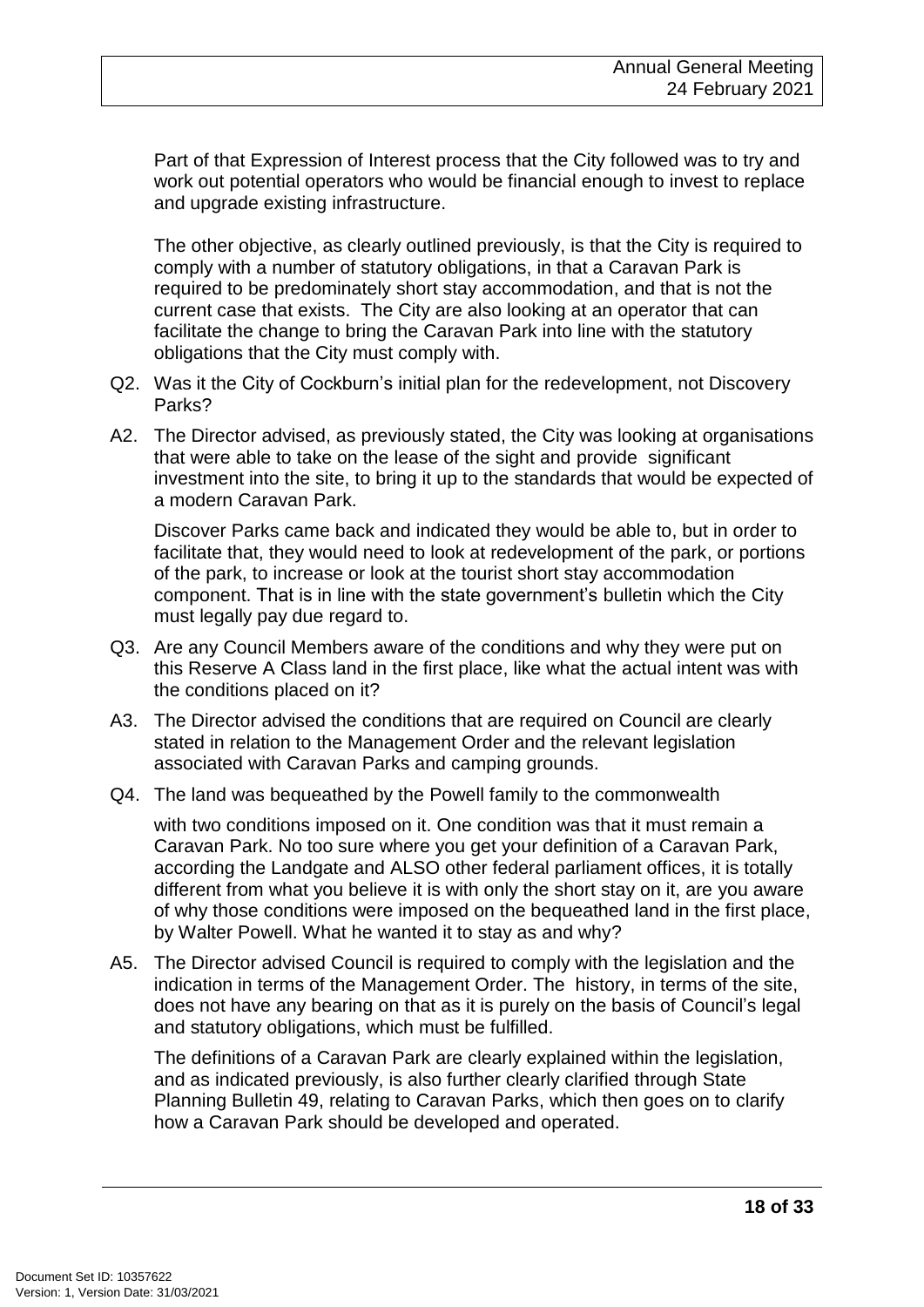Part of that Expression of Interest process that the City followed was to try and work out potential operators who would be financial enough to invest to replace and upgrade existing infrastructure.

The other objective, as clearly outlined previously, is that the City is required to comply with a number of statutory obligations, in that a Caravan Park is required to be predominately short stay accommodation, and that is not the current case that exists. The City are also looking at an operator that can facilitate the change to bring the Caravan Park into line with the statutory obligations that the City must comply with.

- Q2. Was it the City of Cockburn's initial plan for the redevelopment, not Discovery Parks?
- A2. The Director advised, as previously stated, the City was looking at organisations that were able to take on the lease of the sight and provide significant investment into the site, to bring it up to the standards that would be expected of a modern Caravan Park.

Discover Parks came back and indicated they would be able to, but in order to facilitate that, they would need to look at redevelopment of the park, or portions of the park, to increase or look at the tourist short stay accommodation component. That is in line with the state government's bulletin which the City must legally pay due regard to.

- Q3. Are any Council Members aware of the conditions and why they were put on this Reserve A Class land in the first place, like what the actual intent was with the conditions placed on it?
- A3. The Director advised the conditions that are required on Council are clearly stated in relation to the Management Order and the relevant legislation associated with Caravan Parks and camping grounds.
- Q4. The land was bequeathed by the Powell family to the commonwealth

with two conditions imposed on it. One condition was that it must remain a Caravan Park. No too sure where you get your definition of a Caravan Park, according the Landgate and ALSO other federal parliament offices, it is totally different from what you believe it is with only the short stay on it, are you aware of why those conditions were imposed on the bequeathed land in the first place, by Walter Powell. What he wanted it to stay as and why?

A5. The Director advised Council is required to comply with the legislation and the indication in terms of the Management Order. The history, in terms of the site, does not have any bearing on that as it is purely on the basis of Council's legal and statutory obligations, which must be fulfilled.

The definitions of a Caravan Park are clearly explained within the legislation, and as indicated previously, is also further clearly clarified through State Planning Bulletin 49, relating to Caravan Parks, which then goes on to clarify how a Caravan Park should be developed and operated.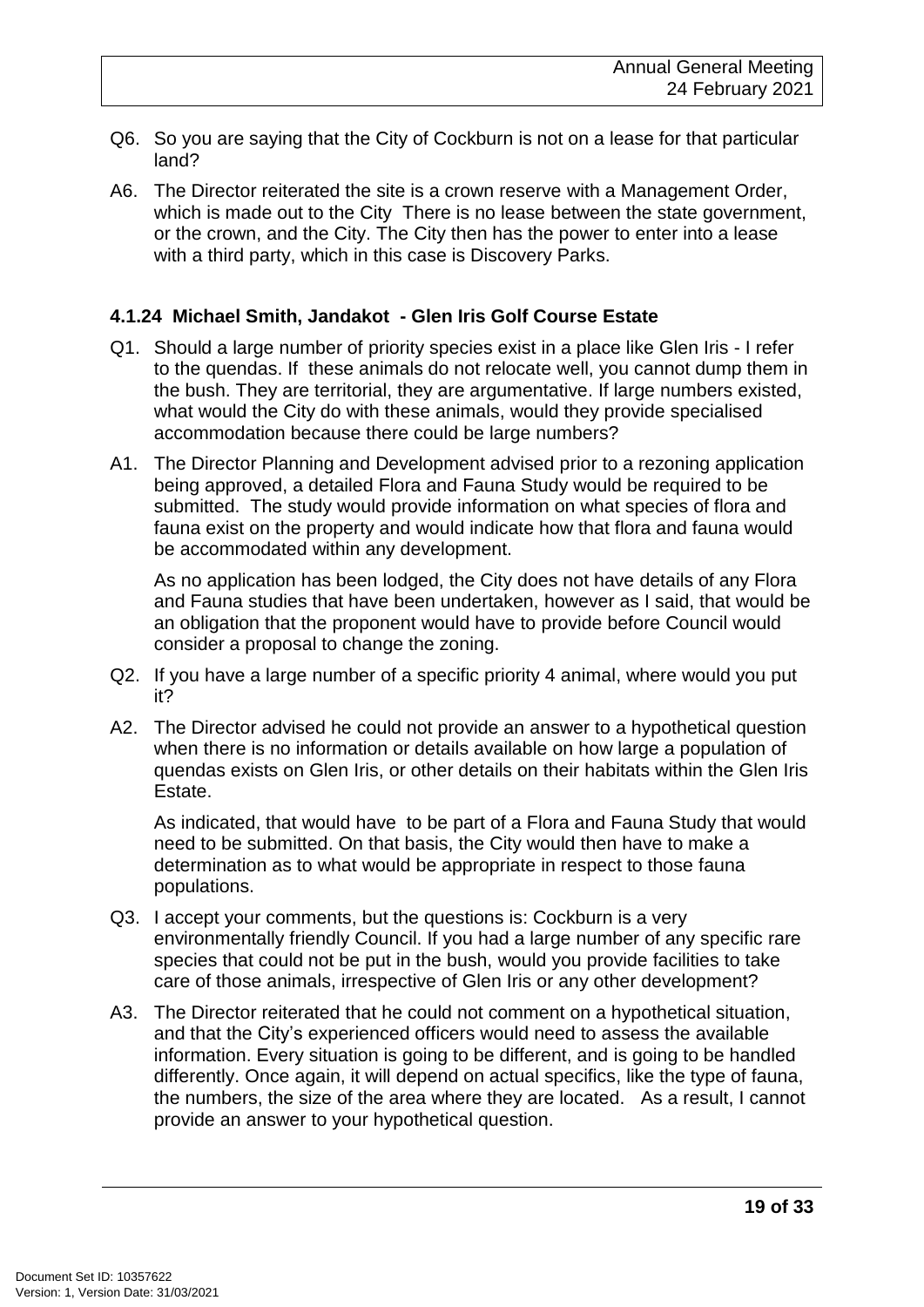- Q6. So you are saying that the City of Cockburn is not on a lease for that particular land?
- A6. The Director reiterated the site is a crown reserve with a Management Order, which is made out to the City There is no lease between the state government, or the crown, and the City. The City then has the power to enter into a lease with a third party, which in this case is Discovery Parks.

#### **4.1.24 Michael Smith, Jandakot - Glen Iris Golf Course Estate**

- Q1. Should a large number of priority species exist in a place like Glen Iris I refer to the quendas. If these animals do not relocate well, you cannot dump them in the bush. They are territorial, they are argumentative. If large numbers existed, what would the City do with these animals, would they provide specialised accommodation because there could be large numbers?
- A1. The Director Planning and Development advised prior to a rezoning application being approved, a detailed Flora and Fauna Study would be required to be submitted. The study would provide information on what species of flora and fauna exist on the property and would indicate how that flora and fauna would be accommodated within any development.

As no application has been lodged, the City does not have details of any Flora and Fauna studies that have been undertaken, however as I said, that would be an obligation that the proponent would have to provide before Council would consider a proposal to change the zoning.

- Q2. If you have a large number of a specific priority 4 animal, where would you put it?
- A2. The Director advised he could not provide an answer to a hypothetical question when there is no information or details available on how large a population of quendas exists on Glen Iris, or other details on their habitats within the Glen Iris Estate.

As indicated, that would have to be part of a Flora and Fauna Study that would need to be submitted. On that basis, the City would then have to make a determination as to what would be appropriate in respect to those fauna populations.

- Q3. I accept your comments, but the questions is: Cockburn is a very environmentally friendly Council. If you had a large number of any specific rare species that could not be put in the bush, would you provide facilities to take care of those animals, irrespective of Glen Iris or any other development?
- A3. The Director reiterated that he could not comment on a hypothetical situation, and that the City's experienced officers would need to assess the available information. Every situation is going to be different, and is going to be handled differently. Once again, it will depend on actual specifics, like the type of fauna, the numbers, the size of the area where they are located. As a result, I cannot provide an answer to your hypothetical question.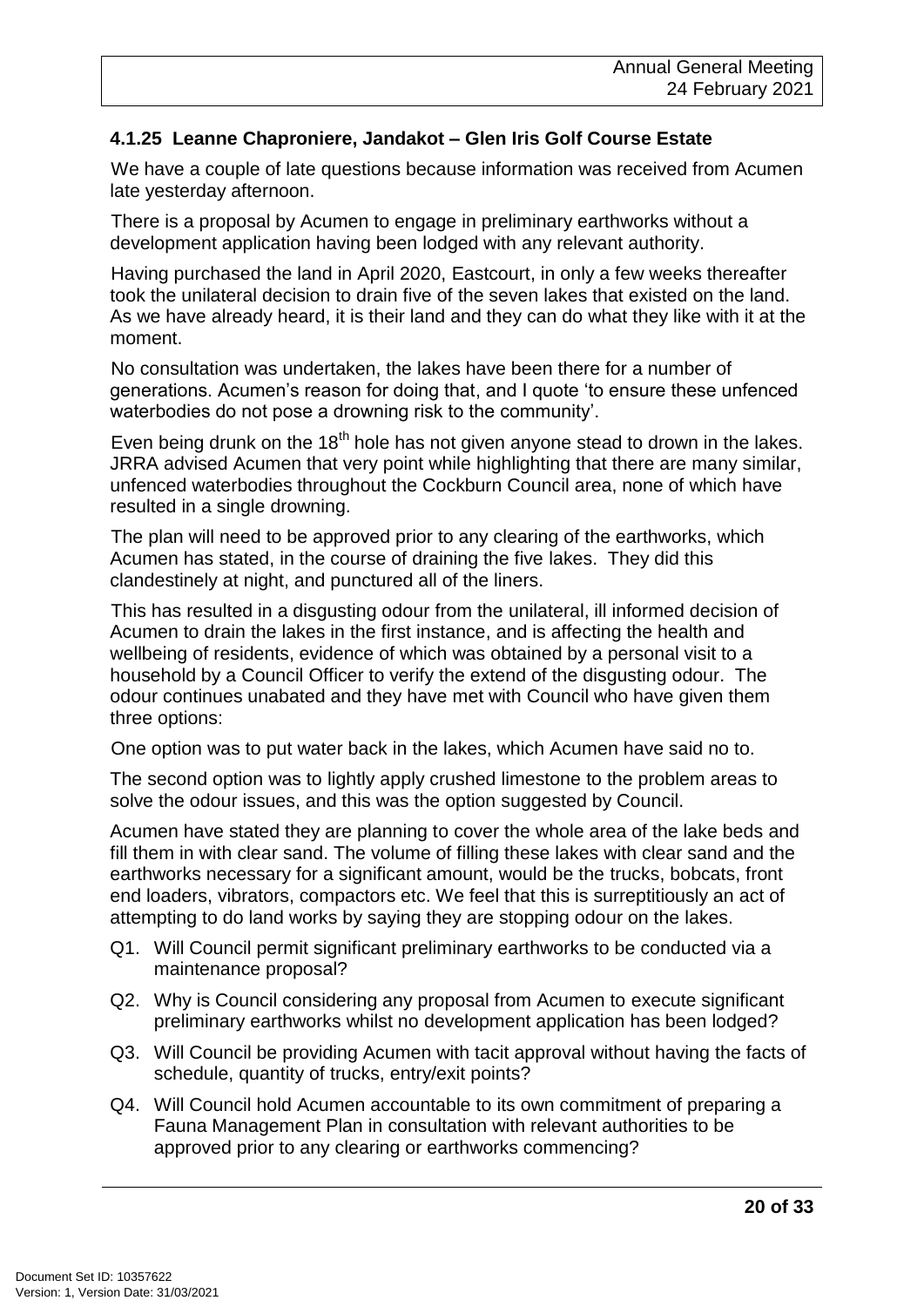#### **4.1.25 Leanne Chaproniere, Jandakot – Glen Iris Golf Course Estate**

We have a couple of late questions because information was received from Acumen late yesterday afternoon.

There is a proposal by Acumen to engage in preliminary earthworks without a development application having been lodged with any relevant authority.

Having purchased the land in April 2020, Eastcourt, in only a few weeks thereafter took the unilateral decision to drain five of the seven lakes that existed on the land. As we have already heard, it is their land and they can do what they like with it at the moment.

No consultation was undertaken, the lakes have been there for a number of generations. Acumen's reason for doing that, and I quote 'to ensure these unfenced waterbodies do not pose a drowning risk to the community'.

Even being drunk on the  $18<sup>th</sup>$  hole has not given anyone stead to drown in the lakes. JRRA advised Acumen that very point while highlighting that there are many similar, unfenced waterbodies throughout the Cockburn Council area, none of which have resulted in a single drowning.

The plan will need to be approved prior to any clearing of the earthworks, which Acumen has stated, in the course of draining the five lakes. They did this clandestinely at night, and punctured all of the liners.

This has resulted in a disgusting odour from the unilateral, ill informed decision of Acumen to drain the lakes in the first instance, and is affecting the health and wellbeing of residents, evidence of which was obtained by a personal visit to a household by a Council Officer to verify the extend of the disgusting odour. The odour continues unabated and they have met with Council who have given them three options:

One option was to put water back in the lakes, which Acumen have said no to.

The second option was to lightly apply crushed limestone to the problem areas to solve the odour issues, and this was the option suggested by Council.

Acumen have stated they are planning to cover the whole area of the lake beds and fill them in with clear sand. The volume of filling these lakes with clear sand and the earthworks necessary for a significant amount, would be the trucks, bobcats, front end loaders, vibrators, compactors etc. We feel that this is surreptitiously an act of attempting to do land works by saying they are stopping odour on the lakes.

- Q1. Will Council permit significant preliminary earthworks to be conducted via a maintenance proposal?
- Q2. Why is Council considering any proposal from Acumen to execute significant preliminary earthworks whilst no development application has been lodged?
- Q3. Will Council be providing Acumen with tacit approval without having the facts of schedule, quantity of trucks, entry/exit points?
- Q4. Will Council hold Acumen accountable to its own commitment of preparing a Fauna Management Plan in consultation with relevant authorities to be approved prior to any clearing or earthworks commencing?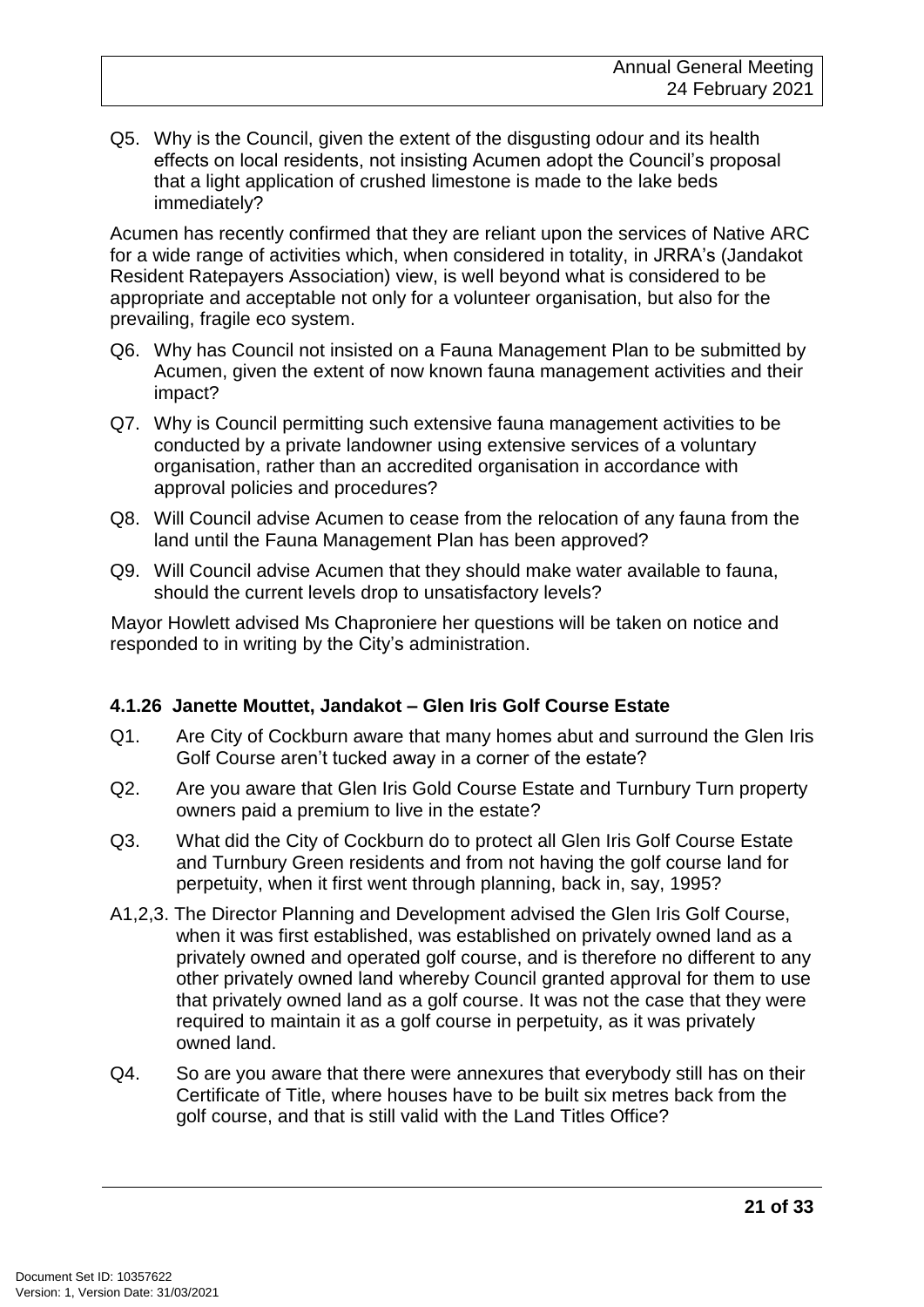Q5. Why is the Council, given the extent of the disgusting odour and its health effects on local residents, not insisting Acumen adopt the Council's proposal that a light application of crushed limestone is made to the lake beds immediately?

Acumen has recently confirmed that they are reliant upon the services of Native ARC for a wide range of activities which, when considered in totality, in JRRA's (Jandakot Resident Ratepayers Association) view, is well beyond what is considered to be appropriate and acceptable not only for a volunteer organisation, but also for the prevailing, fragile eco system.

- Q6. Why has Council not insisted on a Fauna Management Plan to be submitted by Acumen, given the extent of now known fauna management activities and their impact?
- Q7. Why is Council permitting such extensive fauna management activities to be conducted by a private landowner using extensive services of a voluntary organisation, rather than an accredited organisation in accordance with approval policies and procedures?
- Q8. Will Council advise Acumen to cease from the relocation of any fauna from the land until the Fauna Management Plan has been approved?
- Q9. Will Council advise Acumen that they should make water available to fauna, should the current levels drop to unsatisfactory levels?

Mayor Howlett advised Ms Chaproniere her questions will be taken on notice and responded to in writing by the City's administration.

#### **4.1.26 Janette Mouttet, Jandakot – Glen Iris Golf Course Estate**

- Q1. Are City of Cockburn aware that many homes abut and surround the Glen Iris Golf Course aren't tucked away in a corner of the estate?
- Q2. Are you aware that Glen Iris Gold Course Estate and Turnbury Turn property owners paid a premium to live in the estate?
- Q3. What did the City of Cockburn do to protect all Glen Iris Golf Course Estate and Turnbury Green residents and from not having the golf course land for perpetuity, when it first went through planning, back in, say, 1995?
- A1,2,3. The Director Planning and Development advised the Glen Iris Golf Course, when it was first established, was established on privately owned land as a privately owned and operated golf course, and is therefore no different to any other privately owned land whereby Council granted approval for them to use that privately owned land as a golf course. It was not the case that they were required to maintain it as a golf course in perpetuity, as it was privately owned land.
- Q4. So are you aware that there were annexures that everybody still has on their Certificate of Title, where houses have to be built six metres back from the golf course, and that is still valid with the Land Titles Office?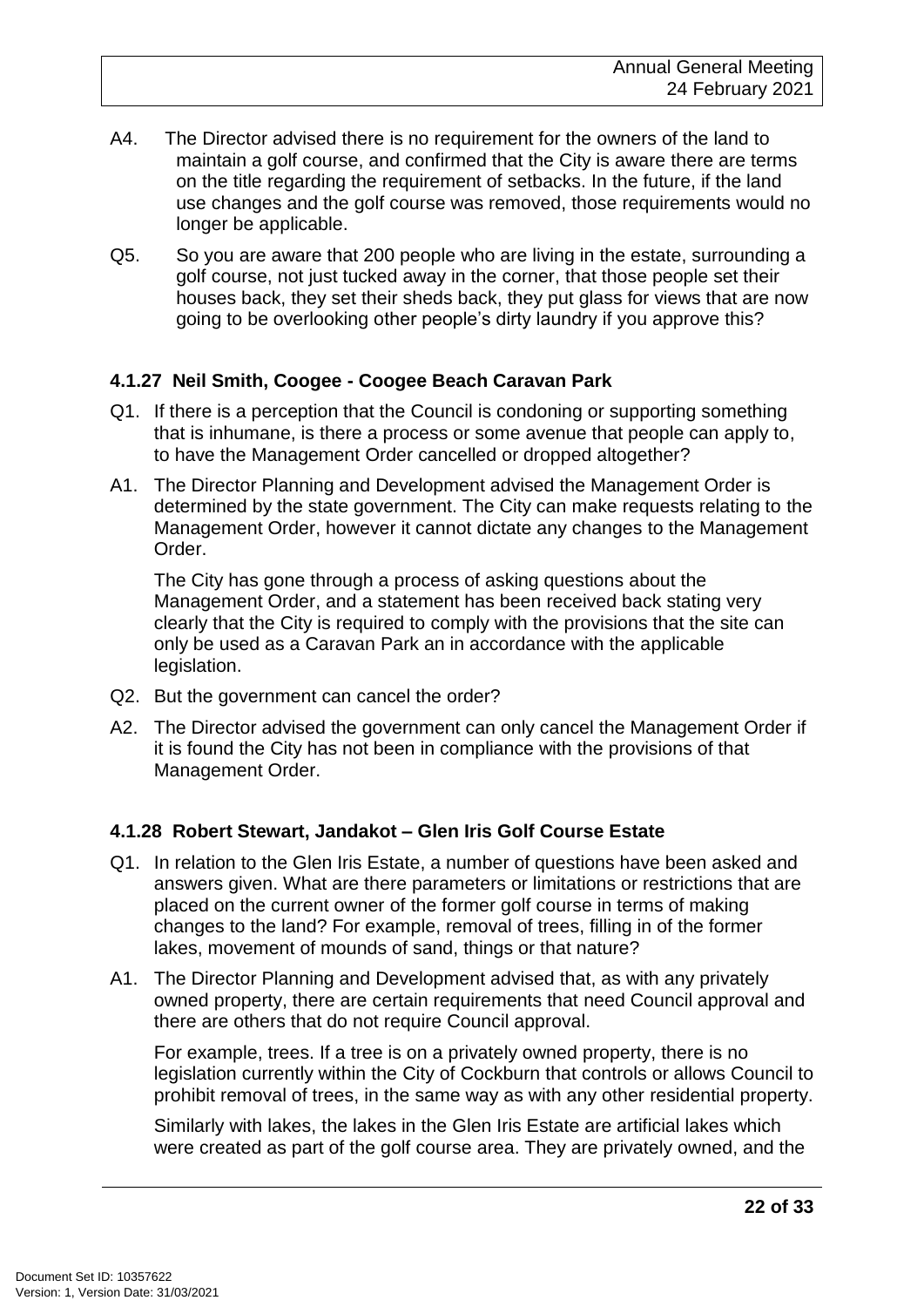- A4. The Director advised there is no requirement for the owners of the land to maintain a golf course, and confirmed that the City is aware there are terms on the title regarding the requirement of setbacks. In the future, if the land use changes and the golf course was removed, those requirements would no longer be applicable.
- Q5. So you are aware that 200 people who are living in the estate, surrounding a golf course, not just tucked away in the corner, that those people set their houses back, they set their sheds back, they put glass for views that are now going to be overlooking other people's dirty laundry if you approve this?

#### **4.1.27 Neil Smith, Coogee - Coogee Beach Caravan Park**

- Q1. If there is a perception that the Council is condoning or supporting something that is inhumane, is there a process or some avenue that people can apply to, to have the Management Order cancelled or dropped altogether?
- A1. The Director Planning and Development advised the Management Order is determined by the state government. The City can make requests relating to the Management Order, however it cannot dictate any changes to the Management Order.

The City has gone through a process of asking questions about the Management Order, and a statement has been received back stating very clearly that the City is required to comply with the provisions that the site can only be used as a Caravan Park an in accordance with the applicable legislation.

- Q2. But the government can cancel the order?
- A2. The Director advised the government can only cancel the Management Order if it is found the City has not been in compliance with the provisions of that Management Order.

#### **4.1.28 Robert Stewart, Jandakot – Glen Iris Golf Course Estate**

- Q1. In relation to the Glen Iris Estate, a number of questions have been asked and answers given. What are there parameters or limitations or restrictions that are placed on the current owner of the former golf course in terms of making changes to the land? For example, removal of trees, filling in of the former lakes, movement of mounds of sand, things or that nature?
- A1. The Director Planning and Development advised that, as with any privately owned property, there are certain requirements that need Council approval and there are others that do not require Council approval.

For example, trees. If a tree is on a privately owned property, there is no legislation currently within the City of Cockburn that controls or allows Council to prohibit removal of trees, in the same way as with any other residential property.

Similarly with lakes, the lakes in the Glen Iris Estate are artificial lakes which were created as part of the golf course area. They are privately owned, and the

**22 of 33**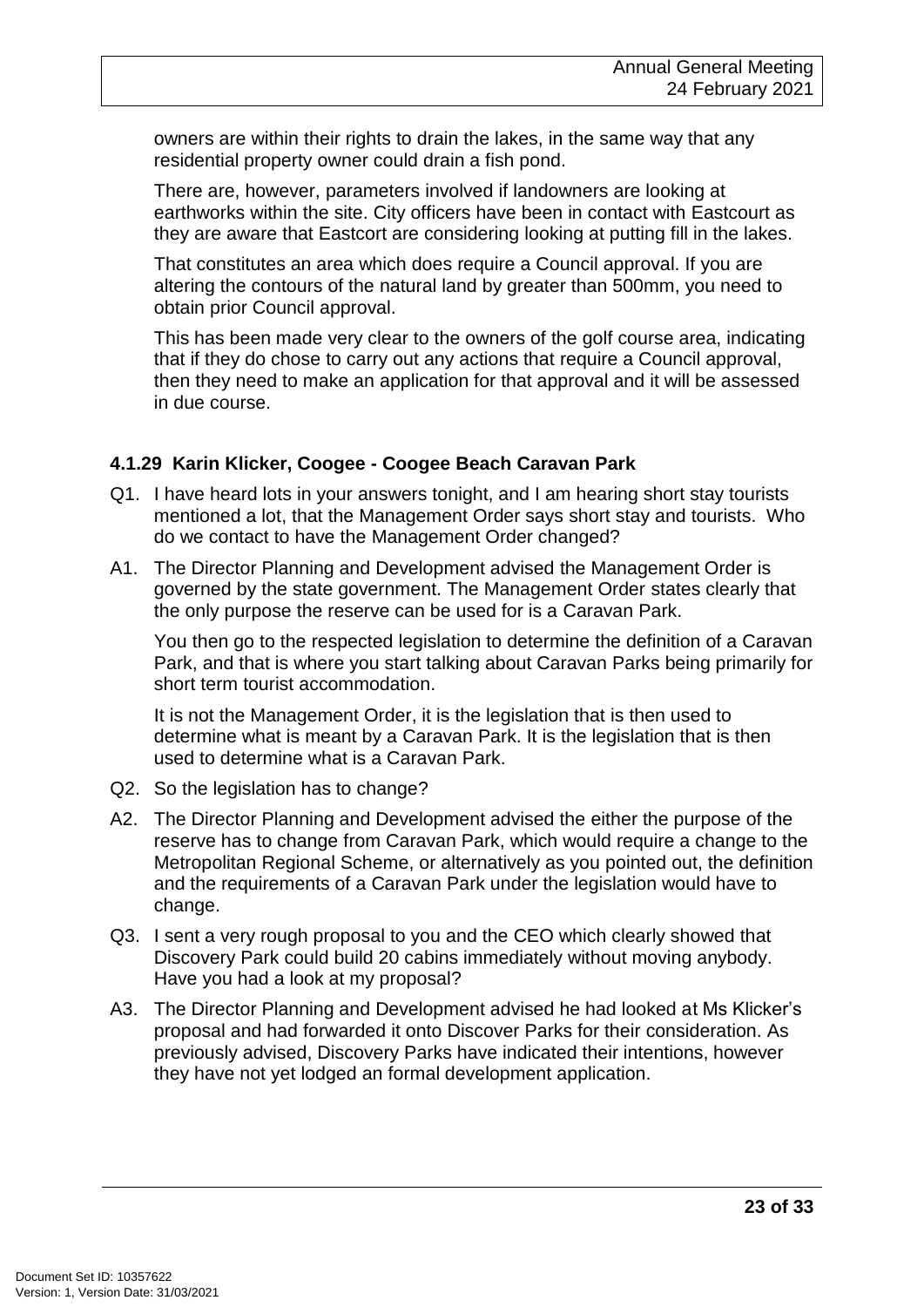owners are within their rights to drain the lakes, in the same way that any residential property owner could drain a fish pond.

There are, however, parameters involved if landowners are looking at earthworks within the site. City officers have been in contact with Eastcourt as they are aware that Eastcort are considering looking at putting fill in the lakes.

That constitutes an area which does require a Council approval. If you are altering the contours of the natural land by greater than 500mm, you need to obtain prior Council approval.

This has been made very clear to the owners of the golf course area, indicating that if they do chose to carry out any actions that require a Council approval, then they need to make an application for that approval and it will be assessed in due course.

#### **4.1.29 Karin Klicker, Coogee - Coogee Beach Caravan Park**

- Q1. I have heard lots in your answers tonight, and I am hearing short stay tourists mentioned a lot, that the Management Order says short stay and tourists. Who do we contact to have the Management Order changed?
- A1. The Director Planning and Development advised the Management Order is governed by the state government. The Management Order states clearly that the only purpose the reserve can be used for is a Caravan Park.

You then go to the respected legislation to determine the definition of a Caravan Park, and that is where you start talking about Caravan Parks being primarily for short term tourist accommodation.

It is not the Management Order, it is the legislation that is then used to determine what is meant by a Caravan Park. It is the legislation that is then used to determine what is a Caravan Park.

- Q2. So the legislation has to change?
- A2. The Director Planning and Development advised the either the purpose of the reserve has to change from Caravan Park, which would require a change to the Metropolitan Regional Scheme, or alternatively as you pointed out, the definition and the requirements of a Caravan Park under the legislation would have to change.
- Q3. I sent a very rough proposal to you and the CEO which clearly showed that Discovery Park could build 20 cabins immediately without moving anybody. Have you had a look at my proposal?
- A3. The Director Planning and Development advised he had looked at Ms Klicker's proposal and had forwarded it onto Discover Parks for their consideration. As previously advised, Discovery Parks have indicated their intentions, however they have not yet lodged an formal development application.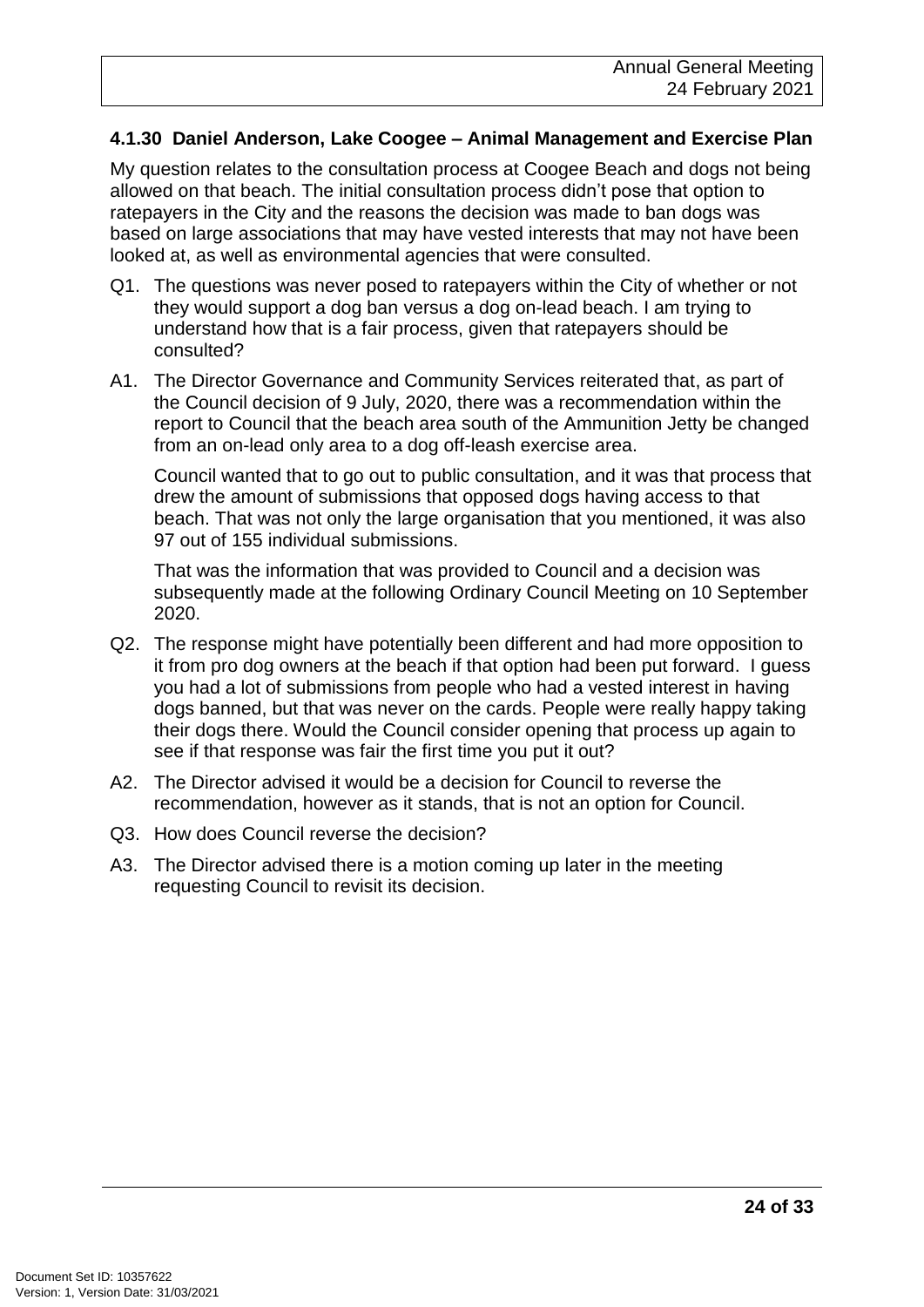#### **4.1.30 Daniel Anderson, Lake Coogee – Animal Management and Exercise Plan**

My question relates to the consultation process at Coogee Beach and dogs not being allowed on that beach. The initial consultation process didn't pose that option to ratepayers in the City and the reasons the decision was made to ban dogs was based on large associations that may have vested interests that may not have been looked at, as well as environmental agencies that were consulted.

- Q1. The questions was never posed to ratepayers within the City of whether or not they would support a dog ban versus a dog on-lead beach. I am trying to understand how that is a fair process, given that ratepayers should be consulted?
- A1. The Director Governance and Community Services reiterated that, as part of the Council decision of 9 July, 2020, there was a recommendation within the report to Council that the beach area south of the Ammunition Jetty be changed from an on-lead only area to a dog off-leash exercise area.

Council wanted that to go out to public consultation, and it was that process that drew the amount of submissions that opposed dogs having access to that beach. That was not only the large organisation that you mentioned, it was also 97 out of 155 individual submissions.

That was the information that was provided to Council and a decision was subsequently made at the following Ordinary Council Meeting on 10 September 2020.

- Q2. The response might have potentially been different and had more opposition to it from pro dog owners at the beach if that option had been put forward. I guess you had a lot of submissions from people who had a vested interest in having dogs banned, but that was never on the cards. People were really happy taking their dogs there. Would the Council consider opening that process up again to see if that response was fair the first time you put it out?
- A2. The Director advised it would be a decision for Council to reverse the recommendation, however as it stands, that is not an option for Council.
- Q3. How does Council reverse the decision?
- A3. The Director advised there is a motion coming up later in the meeting requesting Council to revisit its decision.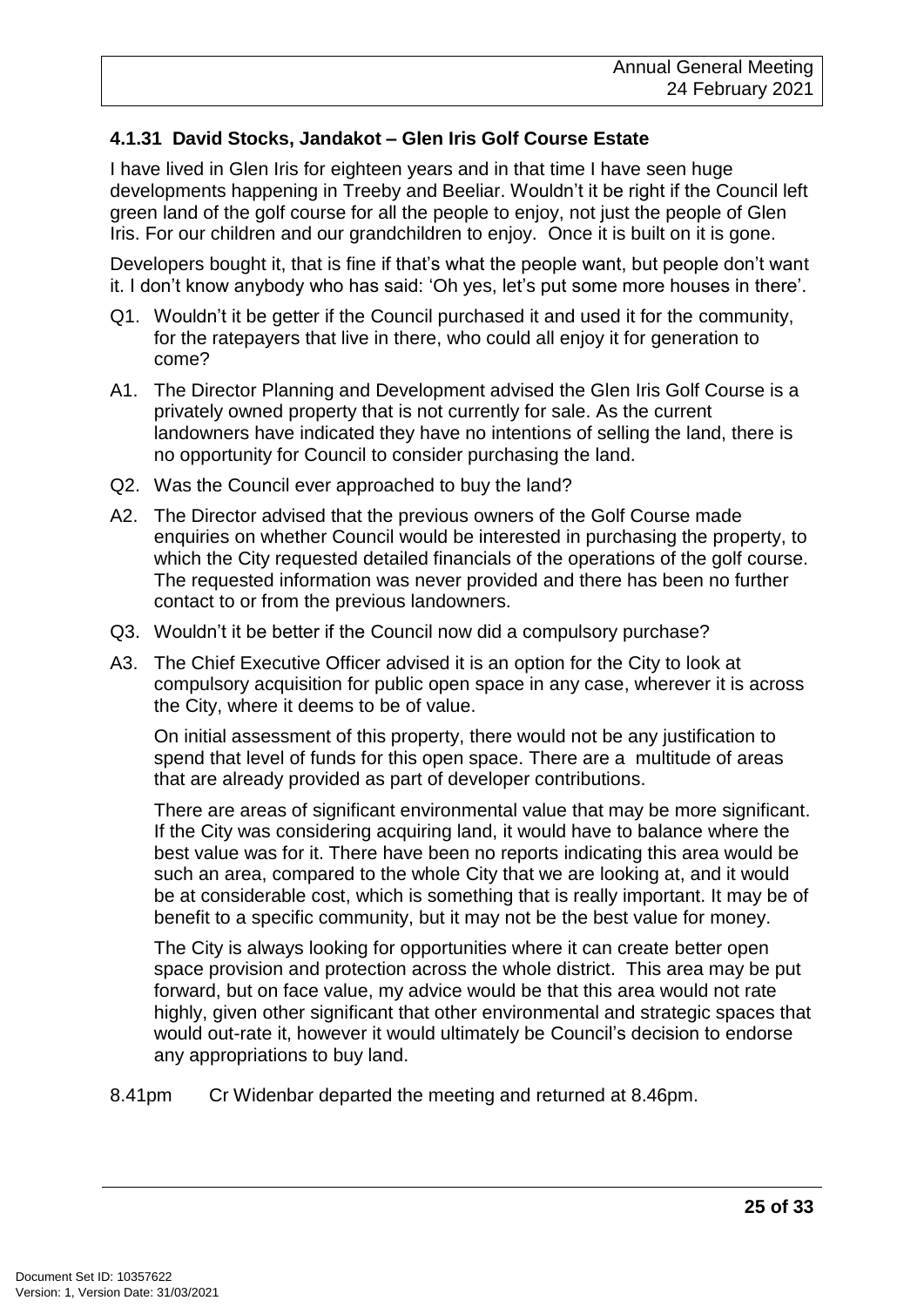#### **4.1.31 David Stocks, Jandakot – Glen Iris Golf Course Estate**

I have lived in Glen Iris for eighteen years and in that time I have seen huge developments happening in Treeby and Beeliar. Wouldn't it be right if the Council left green land of the golf course for all the people to enjoy, not just the people of Glen Iris. For our children and our grandchildren to enjoy. Once it is built on it is gone.

Developers bought it, that is fine if that's what the people want, but people don't want it. I don't know anybody who has said: 'Oh yes, let's put some more houses in there'.

- Q1. Wouldn't it be getter if the Council purchased it and used it for the community, for the ratepayers that live in there, who could all enjoy it for generation to come?
- A1. The Director Planning and Development advised the Glen Iris Golf Course is a privately owned property that is not currently for sale. As the current landowners have indicated they have no intentions of selling the land, there is no opportunity for Council to consider purchasing the land.
- Q2. Was the Council ever approached to buy the land?
- A2. The Director advised that the previous owners of the Golf Course made enquiries on whether Council would be interested in purchasing the property, to which the City requested detailed financials of the operations of the golf course. The requested information was never provided and there has been no further contact to or from the previous landowners.
- Q3. Wouldn't it be better if the Council now did a compulsory purchase?
- A3. The Chief Executive Officer advised it is an option for the City to look at compulsory acquisition for public open space in any case, wherever it is across the City, where it deems to be of value.

On initial assessment of this property, there would not be any justification to spend that level of funds for this open space. There are a multitude of areas that are already provided as part of developer contributions.

There are areas of significant environmental value that may be more significant. If the City was considering acquiring land, it would have to balance where the best value was for it. There have been no reports indicating this area would be such an area, compared to the whole City that we are looking at, and it would be at considerable cost, which is something that is really important. It may be of benefit to a specific community, but it may not be the best value for money.

The City is always looking for opportunities where it can create better open space provision and protection across the whole district. This area may be put forward, but on face value, my advice would be that this area would not rate highly, given other significant that other environmental and strategic spaces that would out-rate it, however it would ultimately be Council's decision to endorse any appropriations to buy land.

8.41pm Cr Widenbar departed the meeting and returned at 8.46pm.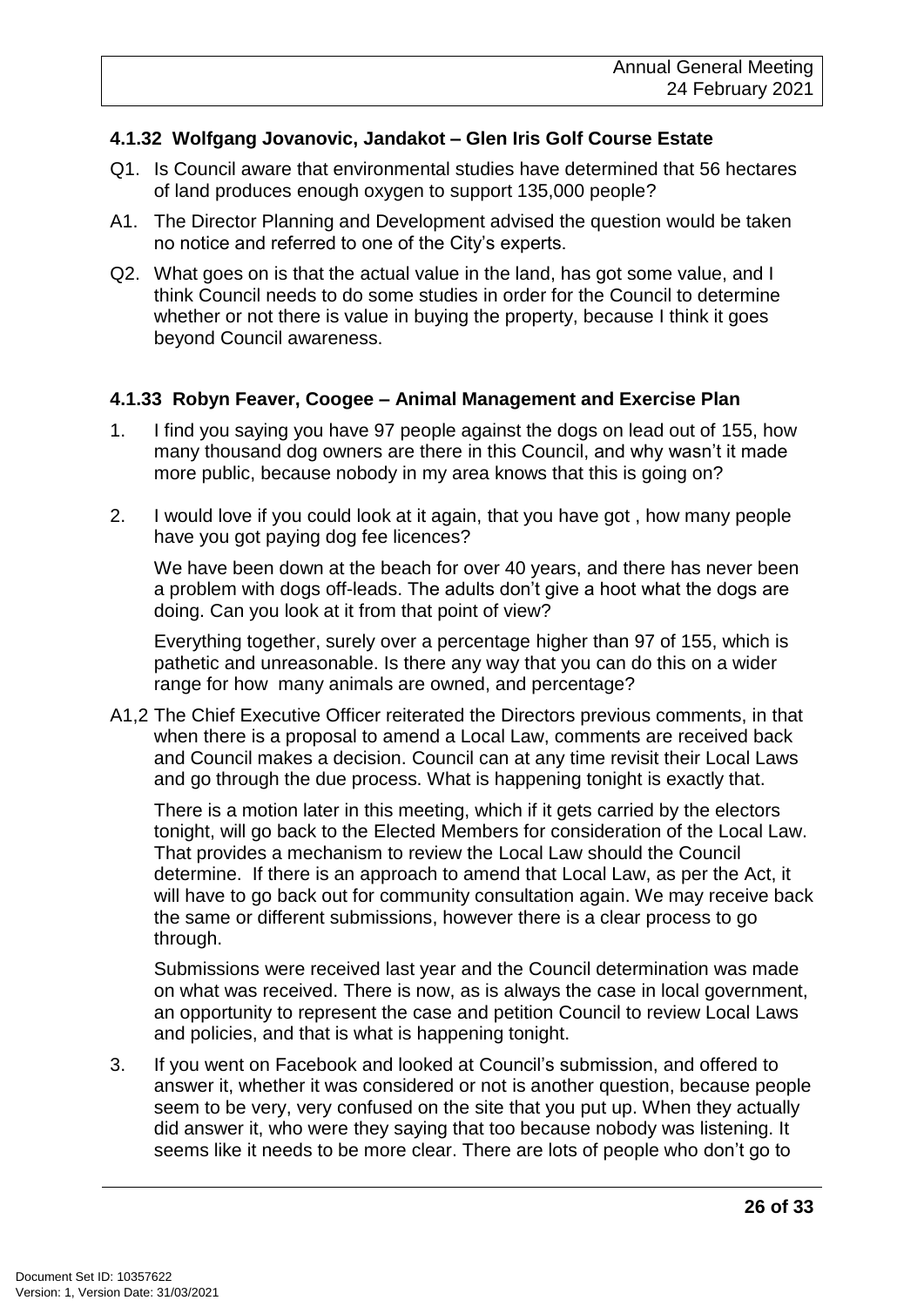#### **4.1.32 Wolfgang Jovanovic, Jandakot – Glen Iris Golf Course Estate**

- Q1. Is Council aware that environmental studies have determined that 56 hectares of land produces enough oxygen to support 135,000 people?
- A1. The Director Planning and Development advised the question would be taken no notice and referred to one of the City's experts.
- Q2. What goes on is that the actual value in the land, has got some value, and I think Council needs to do some studies in order for the Council to determine whether or not there is value in buying the property, because I think it goes beyond Council awareness.

#### **4.1.33 Robyn Feaver, Coogee – Animal Management and Exercise Plan**

- 1. I find you saying you have 97 people against the dogs on lead out of 155, how many thousand dog owners are there in this Council, and why wasn't it made more public, because nobody in my area knows that this is going on?
- 2. I would love if you could look at it again, that you have got , how many people have you got paying dog fee licences?

We have been down at the beach for over 40 years, and there has never been a problem with dogs off-leads. The adults don't give a hoot what the dogs are doing. Can you look at it from that point of view?

Everything together, surely over a percentage higher than 97 of 155, which is pathetic and unreasonable. Is there any way that you can do this on a wider range for how many animals are owned, and percentage?

A1,2 The Chief Executive Officer reiterated the Directors previous comments, in that when there is a proposal to amend a Local Law, comments are received back and Council makes a decision. Council can at any time revisit their Local Laws and go through the due process. What is happening tonight is exactly that.

There is a motion later in this meeting, which if it gets carried by the electors tonight, will go back to the Elected Members for consideration of the Local Law. That provides a mechanism to review the Local Law should the Council determine. If there is an approach to amend that Local Law, as per the Act, it will have to go back out for community consultation again. We may receive back the same or different submissions, however there is a clear process to go through.

Submissions were received last year and the Council determination was made on what was received. There is now, as is always the case in local government, an opportunity to represent the case and petition Council to review Local Laws and policies, and that is what is happening tonight.

3. If you went on Facebook and looked at Council's submission, and offered to answer it, whether it was considered or not is another question, because people seem to be very, very confused on the site that you put up. When they actually did answer it, who were they saying that too because nobody was listening. It seems like it needs to be more clear. There are lots of people who don't go to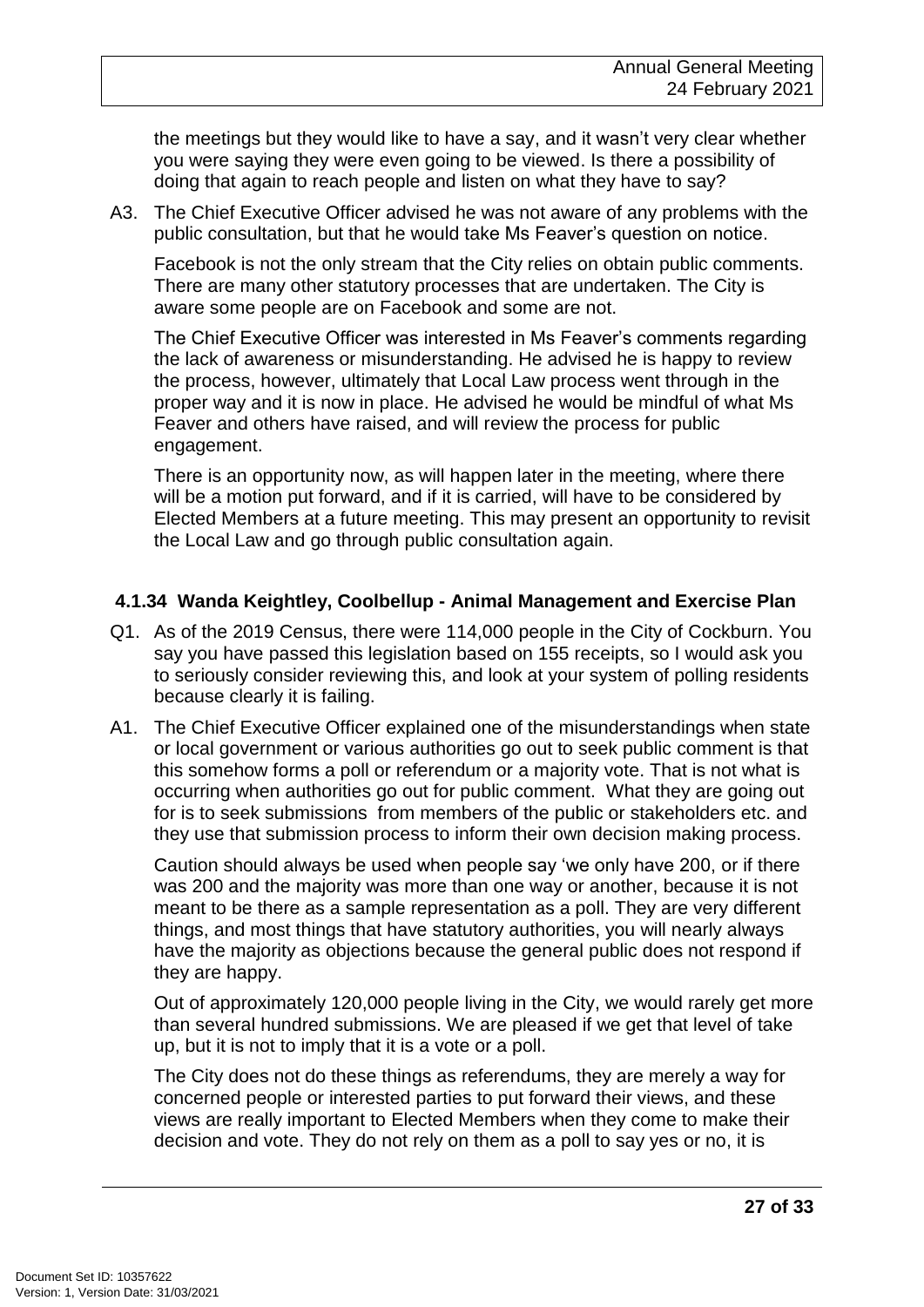the meetings but they would like to have a say, and it wasn't very clear whether you were saying they were even going to be viewed. Is there a possibility of doing that again to reach people and listen on what they have to say?

A3. The Chief Executive Officer advised he was not aware of any problems with the public consultation, but that he would take Ms Feaver's question on notice.

Facebook is not the only stream that the City relies on obtain public comments. There are many other statutory processes that are undertaken. The City is aware some people are on Facebook and some are not.

The Chief Executive Officer was interested in Ms Feaver's comments regarding the lack of awareness or misunderstanding. He advised he is happy to review the process, however, ultimately that Local Law process went through in the proper way and it is now in place. He advised he would be mindful of what Ms Feaver and others have raised, and will review the process for public engagement.

There is an opportunity now, as will happen later in the meeting, where there will be a motion put forward, and if it is carried, will have to be considered by Elected Members at a future meeting. This may present an opportunity to revisit the Local Law and go through public consultation again.

#### **4.1.34 Wanda Keightley, Coolbellup - Animal Management and Exercise Plan**

- Q1. As of the 2019 Census, there were 114,000 people in the City of Cockburn. You say you have passed this legislation based on 155 receipts, so I would ask you to seriously consider reviewing this, and look at your system of polling residents because clearly it is failing.
- A1. The Chief Executive Officer explained one of the misunderstandings when state or local government or various authorities go out to seek public comment is that this somehow forms a poll or referendum or a majority vote. That is not what is occurring when authorities go out for public comment. What they are going out for is to seek submissions from members of the public or stakeholders etc. and they use that submission process to inform their own decision making process.

Caution should always be used when people say 'we only have 200, or if there was 200 and the majority was more than one way or another, because it is not meant to be there as a sample representation as a poll. They are very different things, and most things that have statutory authorities, you will nearly always have the majority as objections because the general public does not respond if they are happy.

Out of approximately 120,000 people living in the City, we would rarely get more than several hundred submissions. We are pleased if we get that level of take up, but it is not to imply that it is a vote or a poll.

The City does not do these things as referendums, they are merely a way for concerned people or interested parties to put forward their views, and these views are really important to Elected Members when they come to make their decision and vote. They do not rely on them as a poll to say yes or no, it is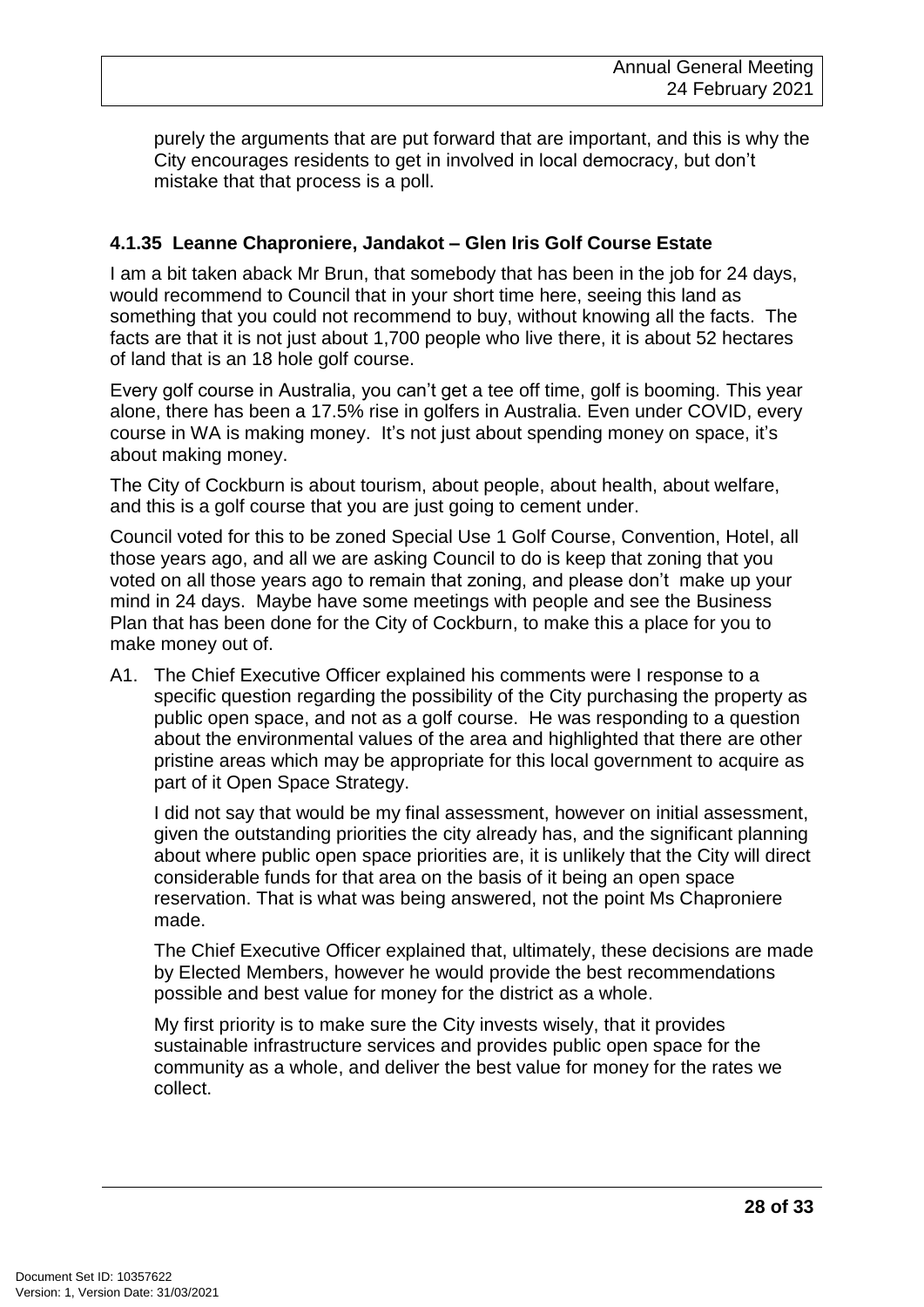purely the arguments that are put forward that are important, and this is why the City encourages residents to get in involved in local democracy, but don't mistake that that process is a poll.

#### **4.1.35 Leanne Chaproniere, Jandakot – Glen Iris Golf Course Estate**

I am a bit taken aback Mr Brun, that somebody that has been in the job for 24 days, would recommend to Council that in your short time here, seeing this land as something that you could not recommend to buy, without knowing all the facts. The facts are that it is not just about 1,700 people who live there, it is about 52 hectares of land that is an 18 hole golf course.

Every golf course in Australia, you can't get a tee off time, golf is booming. This year alone, there has been a 17.5% rise in golfers in Australia. Even under COVID, every course in WA is making money. It's not just about spending money on space, it's about making money.

The City of Cockburn is about tourism, about people, about health, about welfare, and this is a golf course that you are just going to cement under.

Council voted for this to be zoned Special Use 1 Golf Course, Convention, Hotel, all those years ago, and all we are asking Council to do is keep that zoning that you voted on all those years ago to remain that zoning, and please don't make up your mind in 24 days. Maybe have some meetings with people and see the Business Plan that has been done for the City of Cockburn, to make this a place for you to make money out of.

A1. The Chief Executive Officer explained his comments were I response to a specific question regarding the possibility of the City purchasing the property as public open space, and not as a golf course. He was responding to a question about the environmental values of the area and highlighted that there are other pristine areas which may be appropriate for this local government to acquire as part of it Open Space Strategy.

I did not say that would be my final assessment, however on initial assessment, given the outstanding priorities the city already has, and the significant planning about where public open space priorities are, it is unlikely that the City will direct considerable funds for that area on the basis of it being an open space reservation. That is what was being answered, not the point Ms Chaproniere made.

The Chief Executive Officer explained that, ultimately, these decisions are made by Elected Members, however he would provide the best recommendations possible and best value for money for the district as a whole.

My first priority is to make sure the City invests wisely, that it provides sustainable infrastructure services and provides public open space for the community as a whole, and deliver the best value for money for the rates we collect.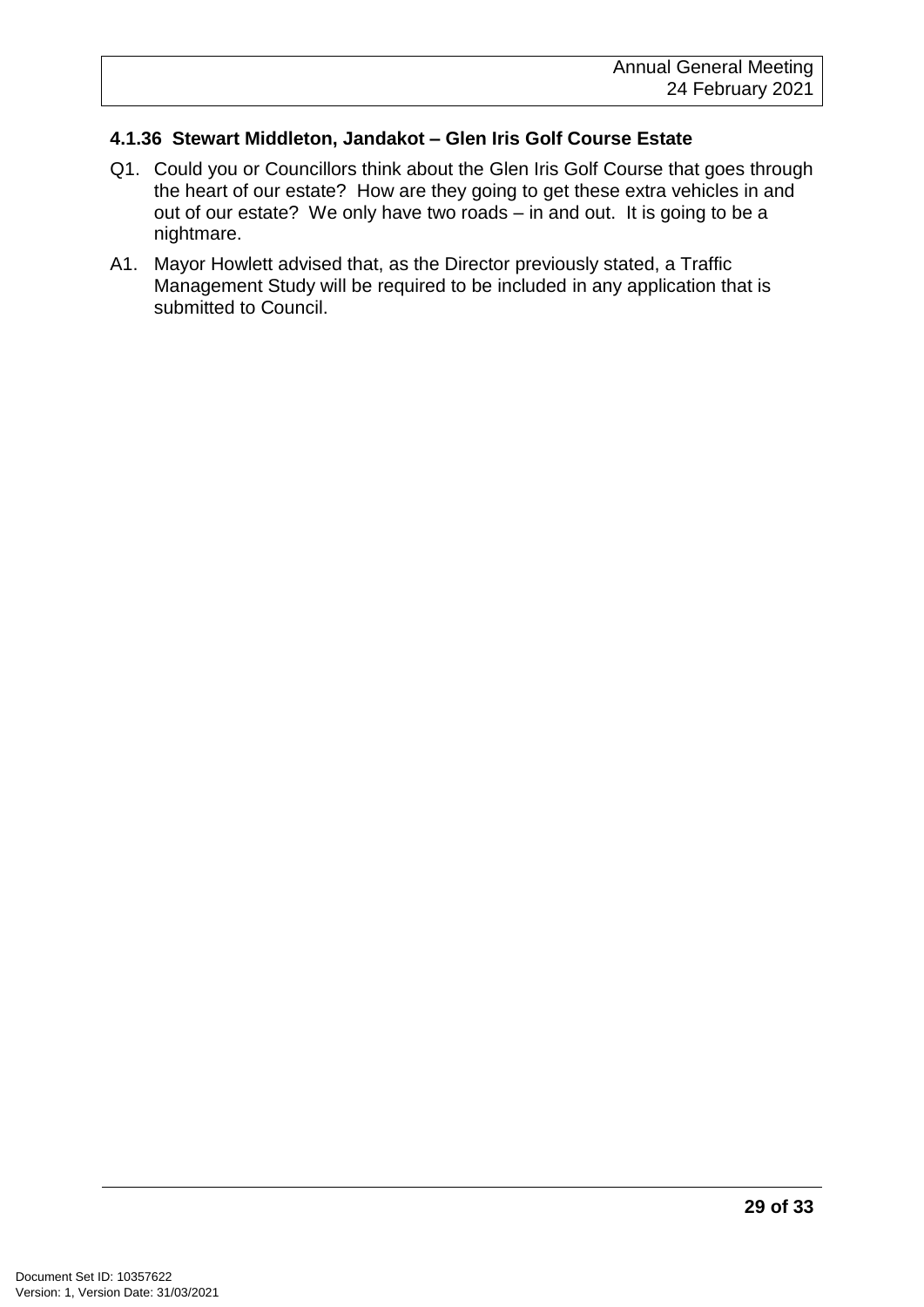#### **4.1.36 Stewart Middleton, Jandakot – Glen Iris Golf Course Estate**

- Q1. Could you or Councillors think about the Glen Iris Golf Course that goes through the heart of our estate? How are they going to get these extra vehicles in and out of our estate? We only have two roads – in and out. It is going to be a nightmare.
- A1. Mayor Howlett advised that, as the Director previously stated, a Traffic Management Study will be required to be included in any application that is submitted to Council.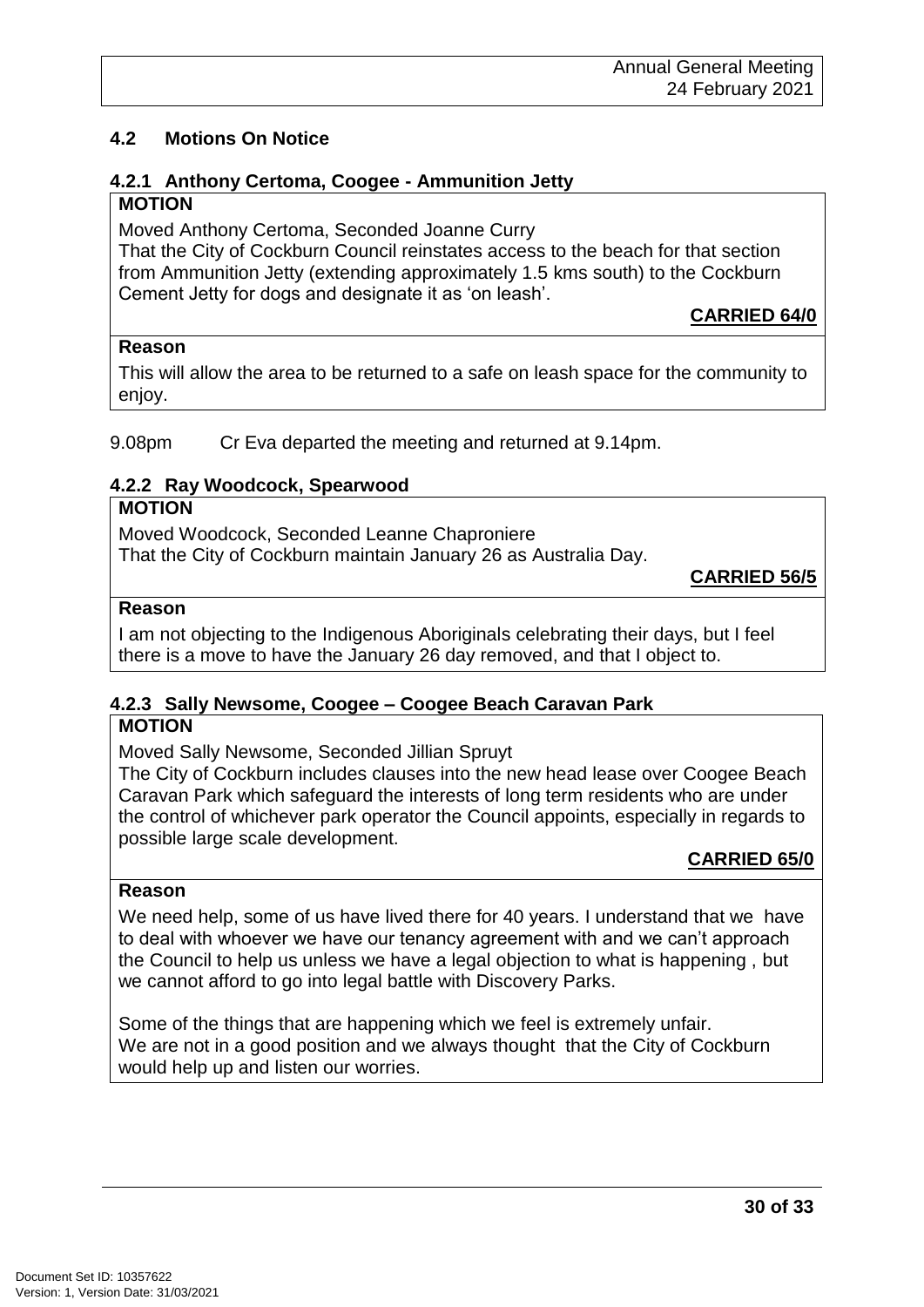## **4.2 Motions On Notice**

#### **4.2.1 Anthony Certoma, Coogee - Ammunition Jetty MOTION**

Moved Anthony Certoma, Seconded Joanne Curry

That the City of Cockburn Council reinstates access to the beach for that section from Ammunition Jetty (extending approximately 1.5 kms south) to the Cockburn Cement Jetty for dogs and designate it as 'on leash'.

#### **Reason**

This will allow the area to be returned to a safe on leash space for the community to enjoy.

9.08pm Cr Eva departed the meeting and returned at 9.14pm.

#### **4.2.2 Ray Woodcock, Spearwood**

#### **MOTION**

Moved Woodcock, Seconded Leanne Chaproniere That the City of Cockburn maintain January 26 as Australia Day.

**CARRIED 56/5**

**CARRIED 64/0**

#### **Reason**

I am not objecting to the Indigenous Aboriginals celebrating their days, but I feel there is a move to have the January 26 day removed, and that I object to.

### **4.2.3 Sally Newsome, Coogee – Coogee Beach Caravan Park**

#### **MOTION**

Moved Sally Newsome, Seconded Jillian Spruyt

The City of Cockburn includes clauses into the new head lease over Coogee Beach Caravan Park which safeguard the interests of long term residents who are under the control of whichever park operator the Council appoints, especially in regards to possible large scale development.

**CARRIED 65/0**

#### **Reason**

We need help, some of us have lived there for 40 years. I understand that we have to deal with whoever we have our tenancy agreement with and we can't approach the Council to help us unless we have a legal objection to what is happening , but we cannot afford to go into legal battle with Discovery Parks.

Some of the things that are happening which we feel is extremely unfair. We are not in a good position and we always thought that the City of Cockburn would help up and listen our worries.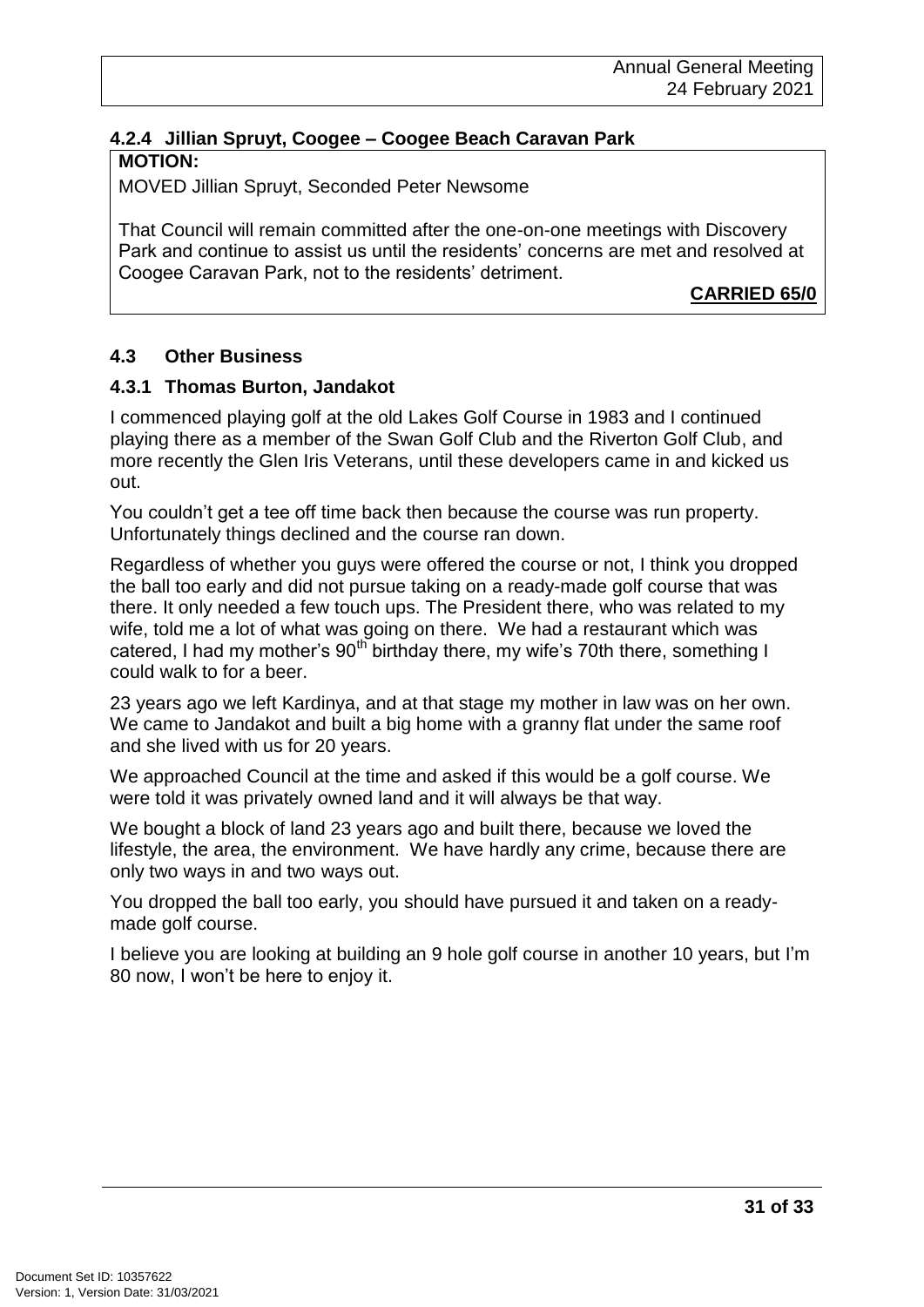#### **4.2.4 Jillian Spruyt, Coogee – Coogee Beach Caravan Park MOTION:**

MOVED Jillian Spruyt, Seconded Peter Newsome

That Council will remain committed after the one-on-one meetings with Discovery Park and continue to assist us until the residents' concerns are met and resolved at Coogee Caravan Park, not to the residents' detriment.

**CARRIED 65/0**

#### **4.3 Other Business**

#### **4.3.1 Thomas Burton, Jandakot**

I commenced playing golf at the old Lakes Golf Course in 1983 and I continued playing there as a member of the Swan Golf Club and the Riverton Golf Club, and more recently the Glen Iris Veterans, until these developers came in and kicked us out.

You couldn't get a tee off time back then because the course was run property. Unfortunately things declined and the course ran down.

Regardless of whether you guys were offered the course or not, I think you dropped the ball too early and did not pursue taking on a ready-made golf course that was there. It only needed a few touch ups. The President there, who was related to my wife, told me a lot of what was going on there. We had a restaurant which was catered, I had my mother's  $90<sup>th</sup>$  birthday there, my wife's 70th there, something I could walk to for a beer.

23 years ago we left Kardinya, and at that stage my mother in law was on her own. We came to Jandakot and built a big home with a granny flat under the same roof and she lived with us for 20 years.

We approached Council at the time and asked if this would be a golf course. We were told it was privately owned land and it will always be that way.

We bought a block of land 23 years ago and built there, because we loved the lifestyle, the area, the environment. We have hardly any crime, because there are only two ways in and two ways out.

You dropped the ball too early, you should have pursued it and taken on a readymade golf course.

I believe you are looking at building an 9 hole golf course in another 10 years, but I'm 80 now, I won't be here to enjoy it.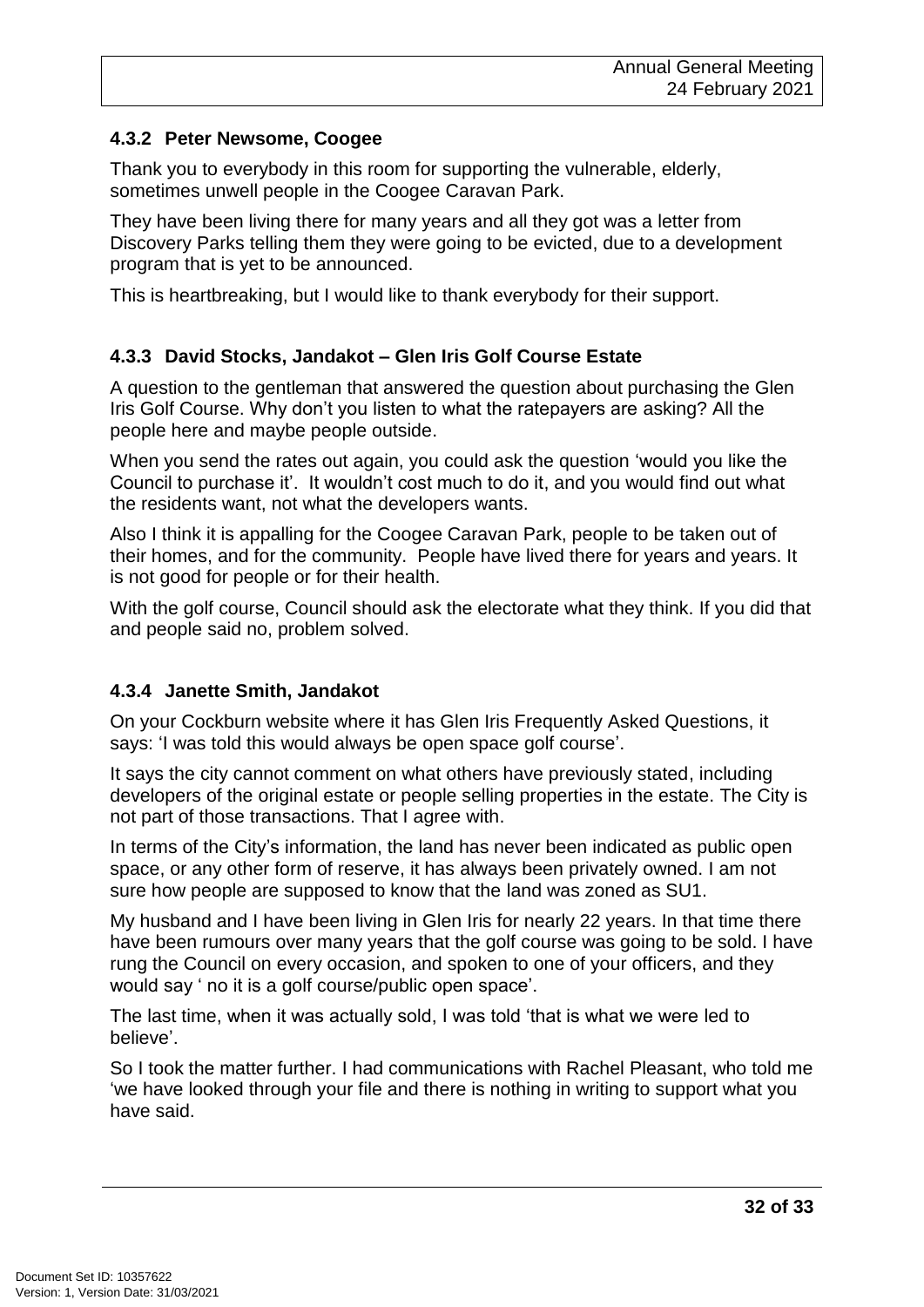#### **4.3.2 Peter Newsome, Coogee**

Thank you to everybody in this room for supporting the vulnerable, elderly, sometimes unwell people in the Coogee Caravan Park.

They have been living there for many years and all they got was a letter from Discovery Parks telling them they were going to be evicted, due to a development program that is yet to be announced.

This is heartbreaking, but I would like to thank everybody for their support.

#### **4.3.3 David Stocks, Jandakot – Glen Iris Golf Course Estate**

A question to the gentleman that answered the question about purchasing the Glen Iris Golf Course. Why don't you listen to what the ratepayers are asking? All the people here and maybe people outside.

When you send the rates out again, you could ask the question 'would you like the Council to purchase it'. It wouldn't cost much to do it, and you would find out what the residents want, not what the developers wants.

Also I think it is appalling for the Coogee Caravan Park, people to be taken out of their homes, and for the community. People have lived there for years and years. It is not good for people or for their health.

With the golf course, Council should ask the electorate what they think. If you did that and people said no, problem solved.

#### **4.3.4 Janette Smith, Jandakot**

On your Cockburn website where it has Glen Iris Frequently Asked Questions, it says: 'I was told this would always be open space golf course'.

It says the city cannot comment on what others have previously stated, including developers of the original estate or people selling properties in the estate. The City is not part of those transactions. That I agree with.

In terms of the City's information, the land has never been indicated as public open space, or any other form of reserve, it has always been privately owned. I am not sure how people are supposed to know that the land was zoned as SU1.

My husband and I have been living in Glen Iris for nearly 22 years. In that time there have been rumours over many years that the golf course was going to be sold. I have rung the Council on every occasion, and spoken to one of your officers, and they would say ' no it is a golf course/public open space'.

The last time, when it was actually sold, I was told 'that is what we were led to believe'.

So I took the matter further. I had communications with Rachel Pleasant, who told me 'we have looked through your file and there is nothing in writing to support what you have said.